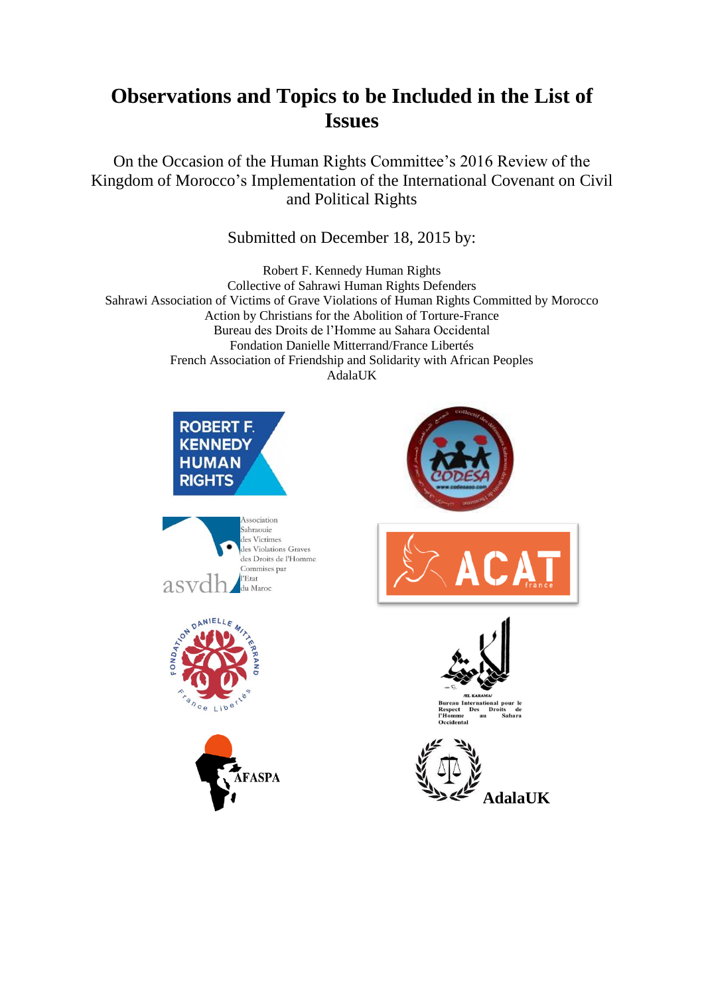# **Observations and Topics to be Included in the List of Issues**

On the Occasion of the Human Rights Committee's 2016 Review of the Kingdom of Morocco's Implementation of the International Covenant on Civil and Political Rights

# Submitted on December 18, 2015 by:

Robert F. Kennedy Human Rights Collective of Sahrawi Human Rights Defenders Sahrawi Association of Victims of Grave Violations of Human Rights Committed by Morocco Action by Christians for the Abolition of Torture-France Bureau des Droits de l'Homme au Sahara Occidental Fondation Danielle Mitterrand/France Libertés French Association of Friendship and Solidarity with African Peoples AdalaUK











**AdalaUK**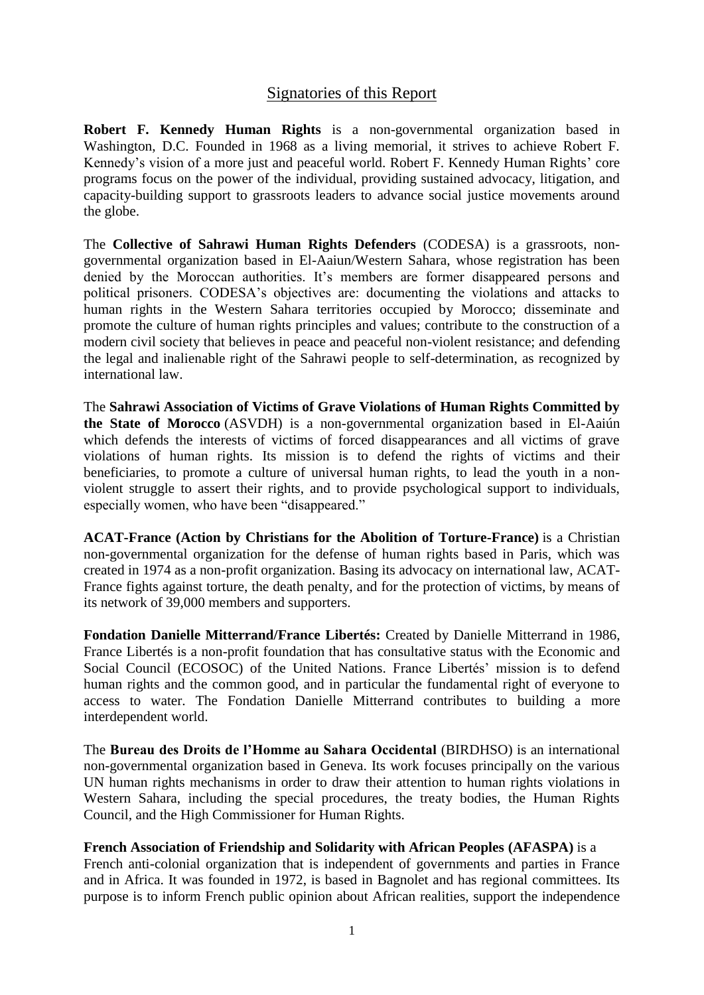## Signatories of this Report

**Robert F. Kennedy Human Rights** is a non-governmental organization based in Washington, D.C. Founded in 1968 as a living memorial, it strives to achieve Robert F. Kennedy's vision of a more just and peaceful world. Robert F. Kennedy Human Rights' core programs focus on the power of the individual, providing sustained advocacy, litigation, and capacity-building support to grassroots leaders to advance social justice movements around the globe.

The **Collective of Sahrawi Human Rights Defenders** (CODESA) is a grassroots, nongovernmental organization based in El-Aaiun/Western Sahara, whose registration has been denied by the Moroccan authorities. It's members are former disappeared persons and political prisoners. CODESA's objectives are: documenting the violations and attacks to human rights in the Western Sahara territories occupied by Morocco; disseminate and promote the culture of human rights principles and values; contribute to the construction of a modern civil society that believes in peace and peaceful non-violent resistance; and defending the legal and inalienable right of the Sahrawi people to self-determination, as recognized by international law.

The **Sahrawi Association of Victims of Grave Violations of Human Rights Committed by the State of Morocco** (ASVDH) is a non-governmental organization based in El-Aaiún which defends the interests of victims of forced disappearances and all victims of grave violations of human rights. Its mission is to defend the rights of victims and their beneficiaries, to promote a culture of universal human rights, to lead the youth in a nonviolent struggle to assert their rights, and to provide psychological support to individuals, especially women, who have been "disappeared."

**ACAT-France (Action by Christians for the Abolition of Torture-France)** is a Christian non-governmental organization for the defense of human rights based in Paris, which was created in 1974 as a non-profit organization. Basing its advocacy on international law, ACAT-France fights against torture, the death penalty, and for the protection of victims, by means of its network of 39,000 members and supporters.

**Fondation Danielle Mitterrand/France Libertés:** Created by Danielle Mitterrand in 1986, France Libertés is a non-profit foundation that has consultative status with the Economic and Social Council (ECOSOC) of the United Nations. France Libertés' mission is to defend human rights and the common good, and in particular the fundamental right of everyone to access to water. The Fondation Danielle Mitterrand contributes to building a more interdependent world.

The **Bureau des Droits de l'Homme au Sahara Occidental** (BIRDHSO) is an international non-governmental organization based in Geneva. Its work focuses principally on the various UN human rights mechanisms in order to draw their attention to human rights violations in Western Sahara, including the special procedures, the treaty bodies, the Human Rights Council, and the High Commissioner for Human Rights.

#### **French Association of Friendship and Solidarity with African Peoples (AFASPA)** is a

French anti-colonial organization that is independent of governments and parties in France and in Africa. It was founded in 1972, is based in Bagnolet and has regional committees. Its purpose is to inform French public opinion about African realities, support the independence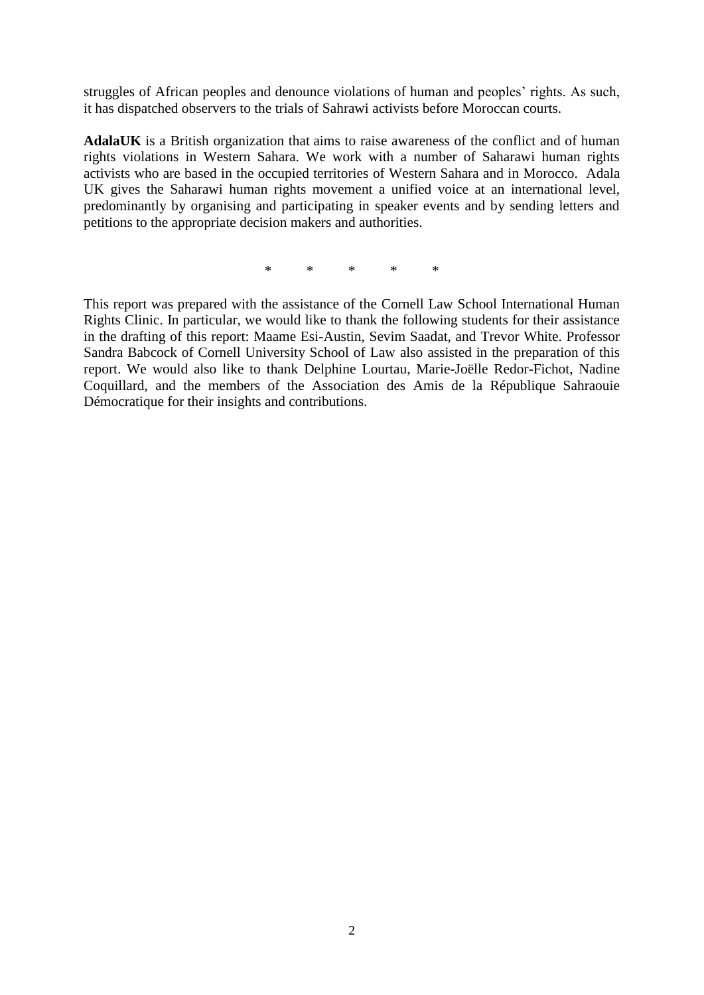struggles of African peoples and denounce violations of human and peoples' rights. As such, it has dispatched observers to the trials of Sahrawi activists before Moroccan courts.

**AdalaUK** is a British organization that aims to raise awareness of the conflict and of human rights violations in Western Sahara. We work with a number of Saharawi human rights activists who are based in the occupied territories of Western Sahara and in Morocco. Adala UK gives the Saharawi human rights movement a unified voice at an international level, predominantly by organising and participating in speaker events and by sending letters and petitions to the appropriate decision makers and authorities.

\* \* \* \* \*

This report was prepared with the assistance of the Cornell Law School International Human Rights Clinic. In particular, we would like to thank the following students for their assistance in the drafting of this report: Maame Esi-Austin, Sevim Saadat, and Trevor White. Professor Sandra Babcock of Cornell University School of Law also assisted in the preparation of this report. We would also like to thank Delphine Lourtau, Marie-Joëlle Redor-Fichot, Nadine Coquillard, and the members of the Association des Amis de la République Sahraouie Démocratique for their insights and contributions.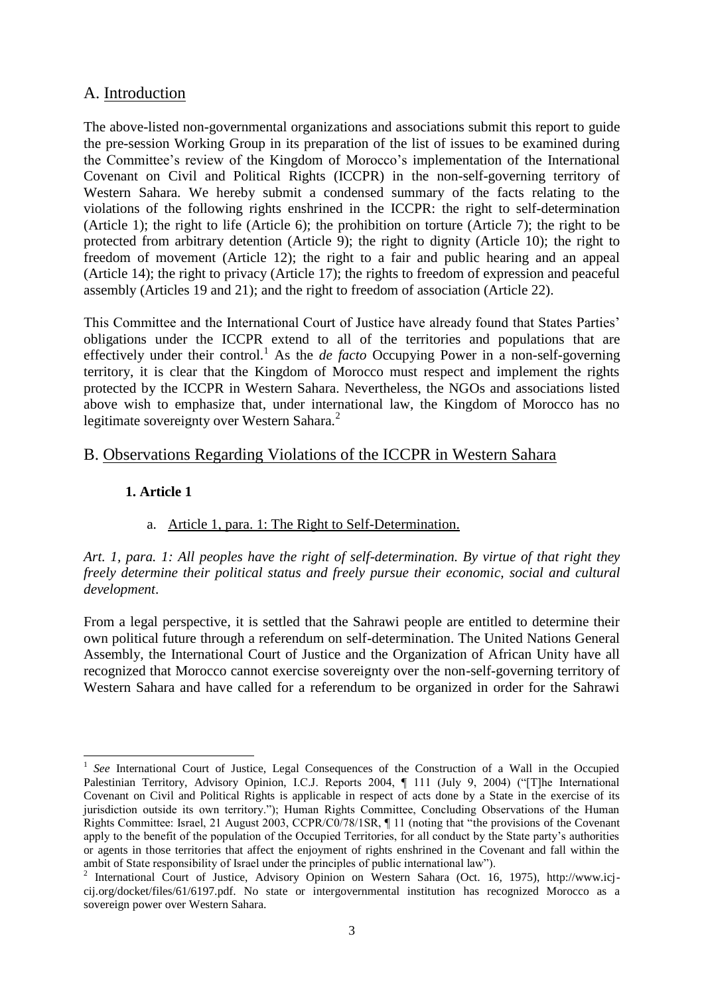# A. Introduction

The above-listed non-governmental organizations and associations submit this report to guide the pre-session Working Group in its preparation of the list of issues to be examined during the Committee's review of the Kingdom of Morocco's implementation of the International Covenant on Civil and Political Rights (ICCPR) in the non-self-governing territory of Western Sahara. We hereby submit a condensed summary of the facts relating to the violations of the following rights enshrined in the ICCPR: the right to self-determination (Article 1); the right to life (Article 6); the prohibition on torture (Article 7); the right to be protected from arbitrary detention (Article 9); the right to dignity (Article 10); the right to freedom of movement (Article 12); the right to a fair and public hearing and an appeal (Article 14); the right to privacy (Article 17); the rights to freedom of expression and peaceful assembly (Articles 19 and 21); and the right to freedom of association (Article 22).

This Committee and the International Court of Justice have already found that States Parties' obligations under the ICCPR extend to all of the territories and populations that are effectively under their control.<sup>1</sup> As the *de facto* Occupying Power in a non-self-governing territory, it is clear that the Kingdom of Morocco must respect and implement the rights protected by the ICCPR in Western Sahara. Nevertheless, the NGOs and associations listed above wish to emphasize that, under international law, the Kingdom of Morocco has no legitimate sovereignty over Western Sahara. $<sup>2</sup>$ </sup>

# B. Observations Regarding Violations of the ICCPR in Western Sahara

## **1. Article 1**

-

# a. Article 1, para. 1: The Right to Self-Determination.

*Art. 1, para. 1: All peoples have the right of self-determination. By virtue of that right they freely determine their political status and freely pursue their economic, social and cultural development*.

From a legal perspective, it is settled that the Sahrawi people are entitled to determine their own political future through a referendum on self-determination. The United Nations General Assembly, the International Court of Justice and the Organization of African Unity have all recognized that Morocco cannot exercise sovereignty over the non-self-governing territory of Western Sahara and have called for a referendum to be organized in order for the Sahrawi

<sup>1</sup> *See* International Court of Justice, Legal Consequences of the Construction of a Wall in the Occupied Palestinian Territory, Advisory Opinion, I.C.J. Reports 2004, ¶ 111 (July 9, 2004) ("[T]he International Covenant on Civil and Political Rights is applicable in respect of acts done by a State in the exercise of its jurisdiction outside its own territory."); Human Rights Committee, Concluding Observations of the Human Rights Committee: Israel, 21 August 2003, CCPR/C0/78/1SR, ¶ 11 (noting that "the provisions of the Covenant apply to the benefit of the population of the Occupied Territories, for all conduct by the State party's authorities or agents in those territories that affect the enjoyment of rights enshrined in the Covenant and fall within the ambit of State responsibility of Israel under the principles of public international law").

<sup>&</sup>lt;sup>2</sup> International Court of Justice, Advisory Opinion on Western Sahara (Oct. 16, 1975), http://www.icjcij.org/docket/files/61/6197.pdf. No state or intergovernmental institution has recognized Morocco as a sovereign power over Western Sahara.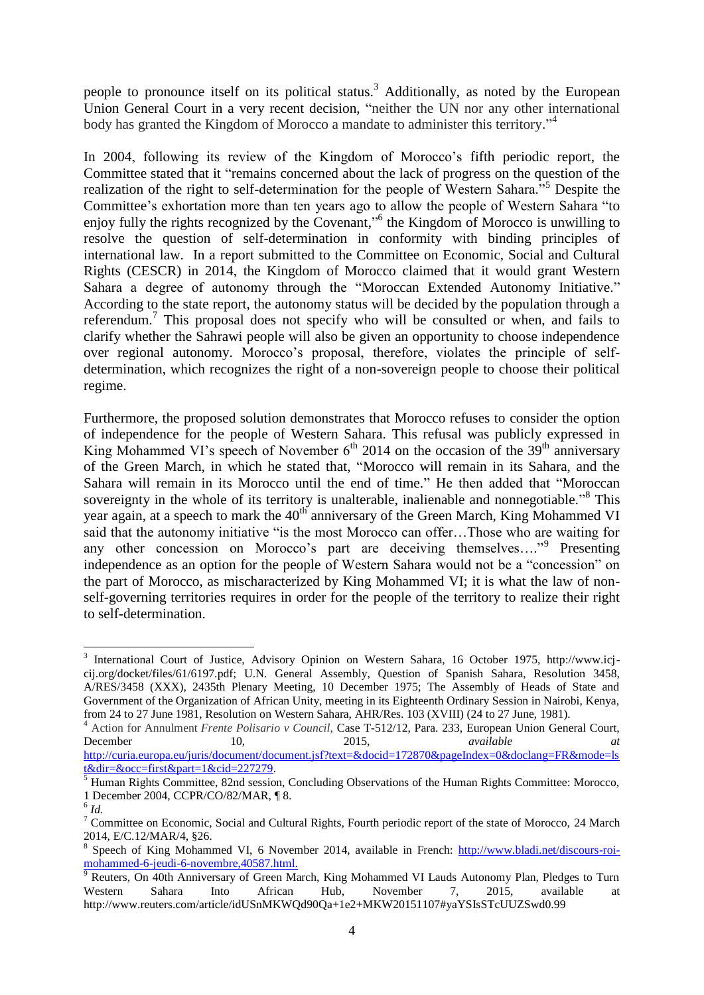people to pronounce itself on its political status.<sup>3</sup> Additionally, as noted by the European Union General Court in a very recent decision, "neither the UN nor any other international body has granted the Kingdom of Morocco a mandate to administer this territory."<sup>4</sup>

In 2004, following its review of the Kingdom of Morocco's fifth periodic report, the Committee stated that it "remains concerned about the lack of progress on the question of the realization of the right to self-determination for the people of Western Sahara.<sup>55</sup> Despite the Committee's exhortation more than ten years ago to allow the people of Western Sahara "to enjoy fully the rights recognized by the Covenant,"<sup>6</sup> the Kingdom of Morocco is unwilling to resolve the question of self-determination in conformity with binding principles of international law. In a report submitted to the Committee on Economic, Social and Cultural Rights (CESCR) in 2014, the Kingdom of Morocco claimed that it would grant Western Sahara a degree of autonomy through the "Moroccan Extended Autonomy Initiative." According to the state report, the autonomy status will be decided by the population through a referendum.<sup>7</sup> This proposal does not specify who will be consulted or when, and fails to clarify whether the Sahrawi people will also be given an opportunity to choose independence over regional autonomy. Morocco's proposal, therefore, violates the principle of selfdetermination, which recognizes the right of a non-sovereign people to choose their political regime.

Furthermore, the proposed solution demonstrates that Morocco refuses to consider the option of independence for the people of Western Sahara. This refusal was publicly expressed in King Mohammed VI's speech of November  $6<sup>th</sup>$  2014 on the occasion of the 39<sup>th</sup> anniversary of the Green March, in which he stated that, "Morocco will remain in its Sahara, and the Sahara will remain in its Morocco until the end of time." He then added that "Moroccan sovereignty in the whole of its territory is unalterable, inalienable and nonnegotiable."<sup>8</sup> This year again, at a speech to mark the  $40<sup>th</sup>$  anniversary of the Green March, King Mohammed VI said that the autonomy initiative "is the most Morocco can offer…Those who are waiting for any other concession on Morocco's part are deceiving themselves...."<sup>9</sup> Presenting independence as an option for the people of Western Sahara would not be a "concession" on the part of Morocco, as mischaracterized by King Mohammed VI; it is what the law of nonself-governing territories requires in order for the people of the territory to realize their right to self-determination.

<sup>1</sup> <sup>3</sup> International Court of Justice, Advisory Opinion on Western Sahara, 16 October 1975, http://www.icjcij.org/docket/files/61/6197.pdf; U.N. General Assembly, Question of Spanish Sahara, Resolution 3458, A/RES/3458 (XXX), 2435th Plenary Meeting, 10 December 1975; The Assembly of Heads of State and Government of the Organization of African Unity, meeting in its Eighteenth Ordinary Session in Nairobi, Kenya, from 24 to 27 June 1981, Resolution on Western Sahara, AHR/Res. 103 (XVIII) (24 to 27 June, 1981).

<sup>4</sup> Action for Annulment *Frente Polisario v Council*, Case T-512/12, Para. 233, European Union General Court, December 10, 2015, *available at*  [http://curia.europa.eu/juris/document/document.jsf?text=&docid=172870&pageIndex=0&doclang=FR&mode=ls](http://curia.europa.eu/juris/document/document.jsf?text=&docid=172870&pageIndex=0&doclang=FR&mode=lst&dir=&occ=first&part=1&cid=227279)

[t&dir=&occ=first&part=1&cid=227279.](http://curia.europa.eu/juris/document/document.jsf?text=&docid=172870&pageIndex=0&doclang=FR&mode=lst&dir=&occ=first&part=1&cid=227279)

<sup>&</sup>lt;sup>5</sup> Human Rights Committee, 82nd session, Concluding Observations of the Human Rights Committee: Morocco, 1 December 2004, CCPR/CO/82/MAR, ¶ 8.

<sup>6</sup> *Id.*

<sup>&</sup>lt;sup>7</sup> Committee on Economic, Social and Cultural Rights, Fourth periodic report of the state of Morocco, 24 March 2014, E/C.12/MAR/4, §26.

<sup>8</sup> Speech of King Mohammed VI, 6 November 2014, available in French: [http://www.bladi.net/discours-roi](http://www.bladi.net/discours-roi-mohammed-6-jeudi-6-novembre,40587.html)[mohammed-6-jeudi-6-novembre,40587.html.](http://www.bladi.net/discours-roi-mohammed-6-jeudi-6-novembre,40587.html)

<sup>&</sup>lt;sup>9</sup> Reuters, On 40th Anniversary of Green March, King Mohammed VI Lauds Autonomy Plan, Pledges to Turn Western Sahara Into African Hub, November 7, 2015, available at http://www.reuters.com/article/idUSnMKWQd90Qa+1e2+MKW20151107#yaYSIsSTcUUZSwd0.99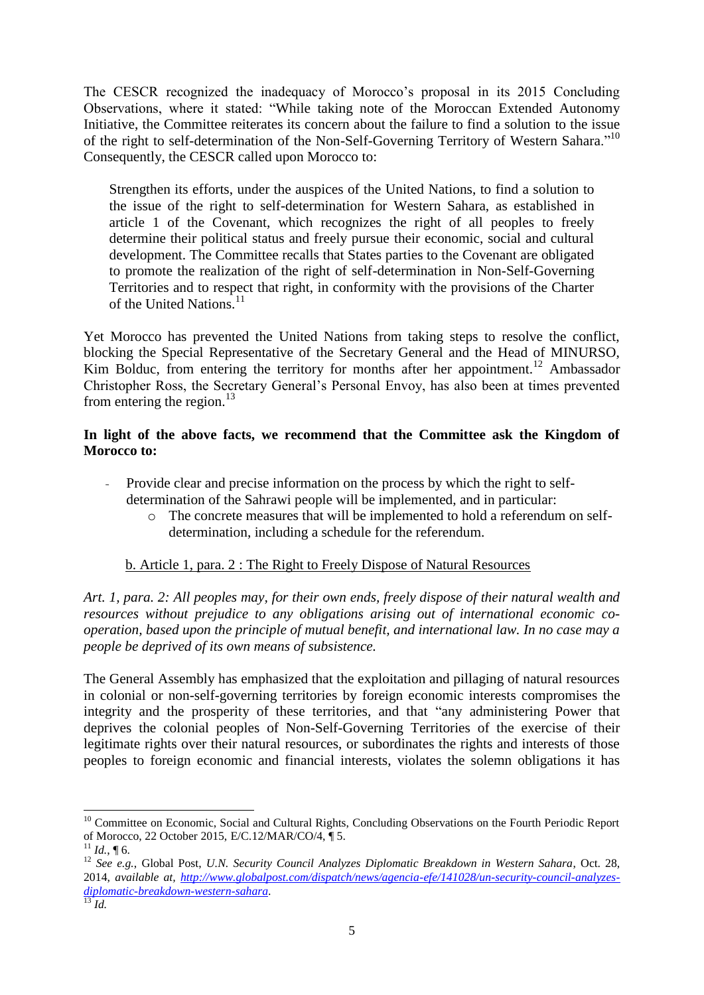The CESCR recognized the inadequacy of Morocco's proposal in its 2015 Concluding Observations, where it stated: "While taking note of the Moroccan Extended Autonomy Initiative, the Committee reiterates its concern about the failure to find a solution to the issue of the right to self-determination of the Non-Self-Governing Territory of Western Sahara."<sup>10</sup> Consequently, the CESCR called upon Morocco to:

Strengthen its efforts, under the auspices of the United Nations, to find a solution to the issue of the right to self-determination for Western Sahara, as established in article 1 of the Covenant, which recognizes the right of all peoples to freely determine their political status and freely pursue their economic, social and cultural development. The Committee recalls that States parties to the Covenant are obligated to promote the realization of the right of self-determination in Non-Self-Governing Territories and to respect that right, in conformity with the provisions of the Charter of the United Nations.<sup>11</sup>

Yet Morocco has prevented the United Nations from taking steps to resolve the conflict, blocking the Special Representative of the Secretary General and the Head of MINURSO, Kim Bolduc, from entering the territory for months after her appointment.<sup>12</sup> Ambassador Christopher Ross, the Secretary General's Personal Envoy, has also been at times prevented from entering the region. $^{13}$ 

#### **In light of the above facts, we recommend that the Committee ask the Kingdom of Morocco to:**

- Provide clear and precise information on the process by which the right to selfdetermination of the Sahrawi people will be implemented, and in particular:
	- o The concrete measures that will be implemented to hold a referendum on selfdetermination, including a schedule for the referendum.

## b. Article 1, para. 2 : The Right to Freely Dispose of Natural Resources

*Art. 1, para. 2: All peoples may, for their own ends, freely dispose of their natural wealth and resources without prejudice to any obligations arising out of international economic cooperation, based upon the principle of mutual benefit, and international law. In no case may a people be deprived of its own means of subsistence.*

The General Assembly has emphasized that the exploitation and pillaging of natural resources in colonial or non-self-governing territories by foreign economic interests compromises the integrity and the prosperity of these territories, and that "any administering Power that deprives the colonial peoples of Non-Self-Governing Territories of the exercise of their legitimate rights over their natural resources, or subordinates the rights and interests of those peoples to foreign economic and financial interests, violates the solemn obligations it has

<sup>&</sup>lt;sup>10</sup> Committee on Economic, Social and Cultural Rights, Concluding Observations on the Fourth Periodic Report of Morocco, 22 October 2015, E/C.12/MAR/CO/4, ¶ 5.

 $11$  *Id.*, 16.

<sup>12</sup> *See e.g.*, Global Post, *U.N. Security Council Analyzes Diplomatic Breakdown in Western Sahara*, Oct. 28, 2014, *available at, [http://www.globalpost.com/dispatch/news/agencia-efe/141028/un-security-council-analyzes](http://www.globalpost.com/dispatch/news/agencia-efe/141028/un-security-council-analyzes-diplomatic-breakdown-western-sahara)[diplomatic-breakdown-western-sahara](http://www.globalpost.com/dispatch/news/agencia-efe/141028/un-security-council-analyzes-diplomatic-breakdown-western-sahara)*.

<sup>13</sup> *Id.*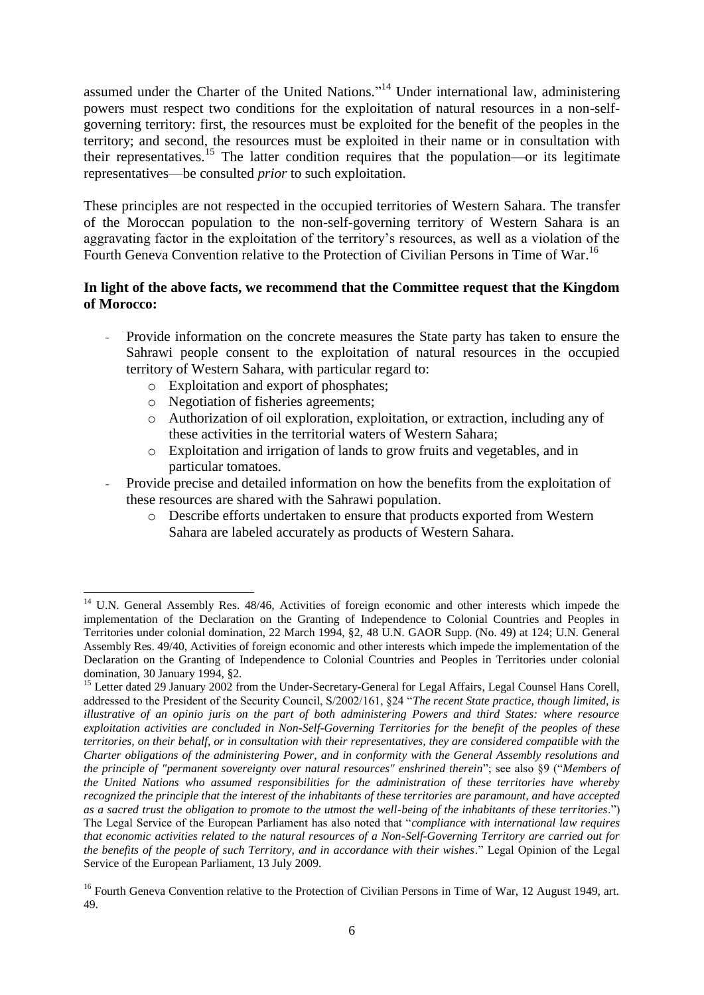assumed under the Charter of the United Nations."<sup>14</sup> Under international law, administering powers must respect two conditions for the exploitation of natural resources in a non-selfgoverning territory: first, the resources must be exploited for the benefit of the peoples in the territory; and second, the resources must be exploited in their name or in consultation with their representatives.<sup>15</sup> The latter condition requires that the population—or its legitimate representatives—be consulted *prior* to such exploitation.

These principles are not respected in the occupied territories of Western Sahara. The transfer of the Moroccan population to the non-self-governing territory of Western Sahara is an aggravating factor in the exploitation of the territory's resources, as well as a violation of the Fourth Geneva Convention relative to the Protection of Civilian Persons in Time of War.<sup>16</sup>

#### **In light of the above facts, we recommend that the Committee request that the Kingdom of Morocco:**

- Provide information on the concrete measures the State party has taken to ensure the Sahrawi people consent to the exploitation of natural resources in the occupied territory of Western Sahara, with particular regard to:
	- o Exploitation and export of phosphates;
	- o Negotiation of fisheries agreements;
	- o Authorization of oil exploration, exploitation, or extraction, including any of these activities in the territorial waters of Western Sahara;
	- o Exploitation and irrigation of lands to grow fruits and vegetables, and in particular tomatoes.
- Provide precise and detailed information on how the benefits from the exploitation of these resources are shared with the Sahrawi population.
	- o Describe efforts undertaken to ensure that products exported from Western Sahara are labeled accurately as products of Western Sahara.

<sup>-</sup><sup>14</sup> U.N. General Assembly Res. 48/46, Activities of foreign economic and other interests which impede the implementation of the Declaration on the Granting of Independence to Colonial Countries and Peoples in Territories under colonial domination, 22 March 1994, §2, 48 U.N. GAOR Supp. (No. 49) at 124; U.N. General Assembly Res. 49/40, Activities of foreign economic and other interests which impede the implementation of the Declaration on the Granting of Independence to Colonial Countries and Peoples in Territories under colonial domination, 30 January 1994, §2.

<sup>&</sup>lt;sup>15</sup> Letter dated 29 January 2002 from the Under-Secretary-General for Legal Affairs, Legal Counsel Hans Corell, addressed to the President of the Security Council, S/2002/161, §24 "*The recent State practice, though limited, is illustrative of an opinio juris on the part of both administering Powers and third States: where resource exploitation activities are concluded in Non-Self-Governing Territories for the benefit of the peoples of these territories, on their behalf, or in consultation with their representatives, they are considered compatible with the Charter obligations of the administering Power, and in conformity with the General Assembly resolutions and the principle of "permanent sovereignty over natural resources" enshrined therein*"; see also §9 ("*Members of the United Nations who assumed responsibilities for the administration of these territories have whereby recognized the principle that the interest of the inhabitants of these territories are paramount, and have accepted as a sacred trust the obligation to promote to the utmost the well-being of the inhabitants of these territories*.") The Legal Service of the European Parliament has also noted that "*compliance with international law requires that economic activities related to the natural resources of a Non-Self-Governing Territory are carried out for the benefits of the people of such Territory, and in accordance with their wishes*." Legal Opinion of the Legal Service of the European Parliament, 13 July 2009.

<sup>&</sup>lt;sup>16</sup> Fourth Geneva Convention relative to the Protection of Civilian Persons in Time of War, 12 August 1949, art. 49.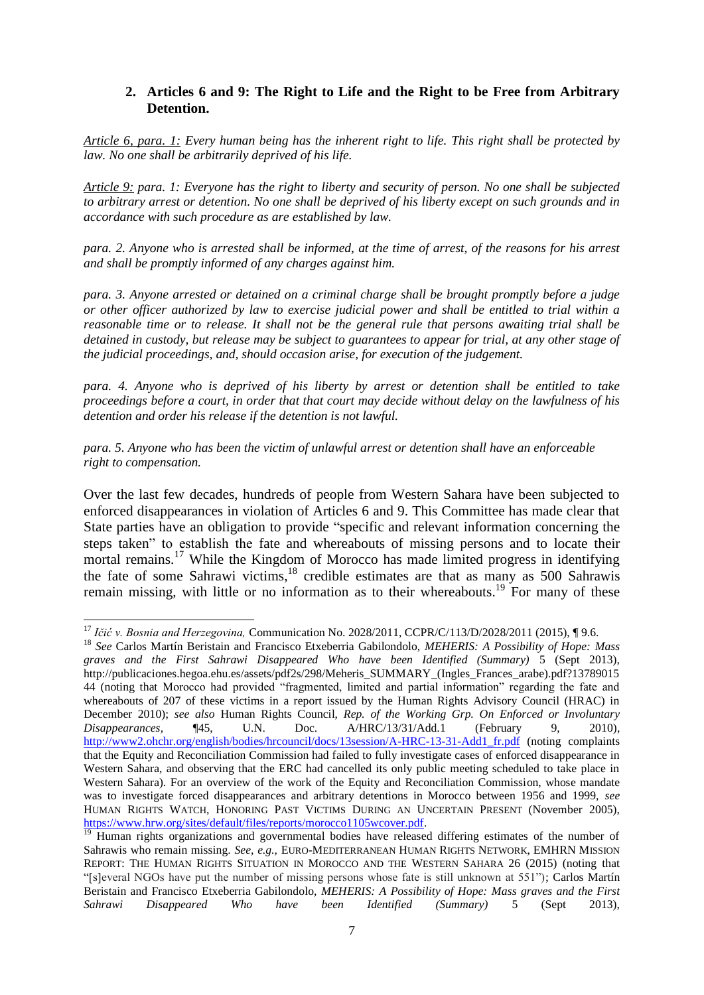#### **2. Articles 6 and 9: The Right to Life and the Right to be Free from Arbitrary Detention.**

*Article 6, para. 1: Every human being has the inherent right to life. This right shall be protected by law. No one shall be arbitrarily deprived of his life.*

*Article 9: para. 1: Everyone has the right to liberty and security of person. No one shall be subjected to arbitrary arrest or detention. No one shall be deprived of his liberty except on such grounds and in accordance with such procedure as are established by law.*

*para. 2. Anyone who is arrested shall be informed, at the time of arrest, of the reasons for his arrest and shall be promptly informed of any charges against him.*

*para. 3. Anyone arrested or detained on a criminal charge shall be brought promptly before a judge or other officer authorized by law to exercise judicial power and shall be entitled to trial within a reasonable time or to release. It shall not be the general rule that persons awaiting trial shall be detained in custody, but release may be subject to guarantees to appear for trial, at any other stage of the judicial proceedings, and, should occasion arise, for execution of the judgement.*

*para. 4. Anyone who is deprived of his liberty by arrest or detention shall be entitled to take proceedings before a court, in order that that court may decide without delay on the lawfulness of his detention and order his release if the detention is not lawful.*

*para. 5. Anyone who has been the victim of unlawful arrest or detention shall have an enforceable right to compensation.*

Over the last few decades, hundreds of people from Western Sahara have been subjected to enforced disappearances in violation of Articles 6 and 9. This Committee has made clear that State parties have an obligation to provide "specific and relevant information concerning the steps taken" to establish the fate and whereabouts of missing persons and to locate their mortal remains.<sup>17</sup> While the Kingdom of Morocco has made limited progress in identifying the fate of some Sahrawi victims, $18$  credible estimates are that as many as 500 Sahrawis remain missing, with little or no information as to their whereabouts.<sup>19</sup> For many of these

<sup>1</sup> <sup>17</sup> *Ičić v. Bosnia and Herzegovina,* Communication No. 2028/2011, CCPR/C/113/D/2028/2011 (2015), ¶ 9.6.

<sup>18</sup> *See* Carlos Martín Beristain and Francisco Etxeberria Gabilondolo, *MEHERIS: A Possibility of Hope: Mass graves and the First Sahrawi Disappeared Who have been Identified (Summary)* 5 (Sept 2013), http://publicaciones.hegoa.ehu.es/assets/pdf2s/298/Meheris\_SUMMARY\_(Ingles\_Frances\_arabe).pdf?13789015 44 (noting that Morocco had provided "fragmented, limited and partial information" regarding the fate and whereabouts of 207 of these victims in a report issued by the Human Rights Advisory Council (HRAC) in December 2010); *see also* Human Rights Council, *Rep. of the Working Grp. On Enforced or Involuntary Disappearances,* ¶45, U.N. Doc. A/HRC/13/31/Add.1 (February 9, 2010), [http://www2.ohchr.org/english/bodies/hrcouncil/docs/13session/A-HRC-13-31-Add1\\_fr.pdf](http://www2.ohchr.org/english/bodies/hrcouncil/docs/13session/A-HRC-13-31-Add1_fr.pdf) (noting complaints that the Equity and Reconciliation Commission had failed to fully investigate cases of enforced disappearance in Western Sahara, and observing that the ERC had cancelled its only public meeting scheduled to take place in Western Sahara). For an overview of the work of the Equity and Reconciliation Commission, whose mandate was to investigate forced disappearances and arbitrary detentions in Morocco between 1956 and 1999, *see*  HUMAN RIGHTS WATCH, HONORING PAST VICTIMS DURING AN UNCERTAIN PRESENT (November 2005), [https://www.hrw.org/sites/default/files/reports/morocco1105wcover.pdf.](https://www.hrw.org/sites/default/files/reports/morocco1105wcover.pdf)

<sup>19</sup> Human rights organizations and governmental bodies have released differing estimates of the number of Sahrawis who remain missing. *See, e.g.,* EURO-MEDITERRANEAN HUMAN RIGHTS NETWORK, EMHRN MISSION REPORT: THE HUMAN RIGHTS SITUATION IN MOROCCO AND THE WESTERN SAHARA 26 (2015) (noting that "[s]everal NGOs have put the number of missing persons whose fate is still unknown at 551"); Carlos Martín Beristain and Francisco Etxeberria Gabilondolo, *MEHERIS: A Possibility of Hope: Mass graves and the First Sahrawi Disappeared Who have been Identified (Summary)* 5 (Sept 2013),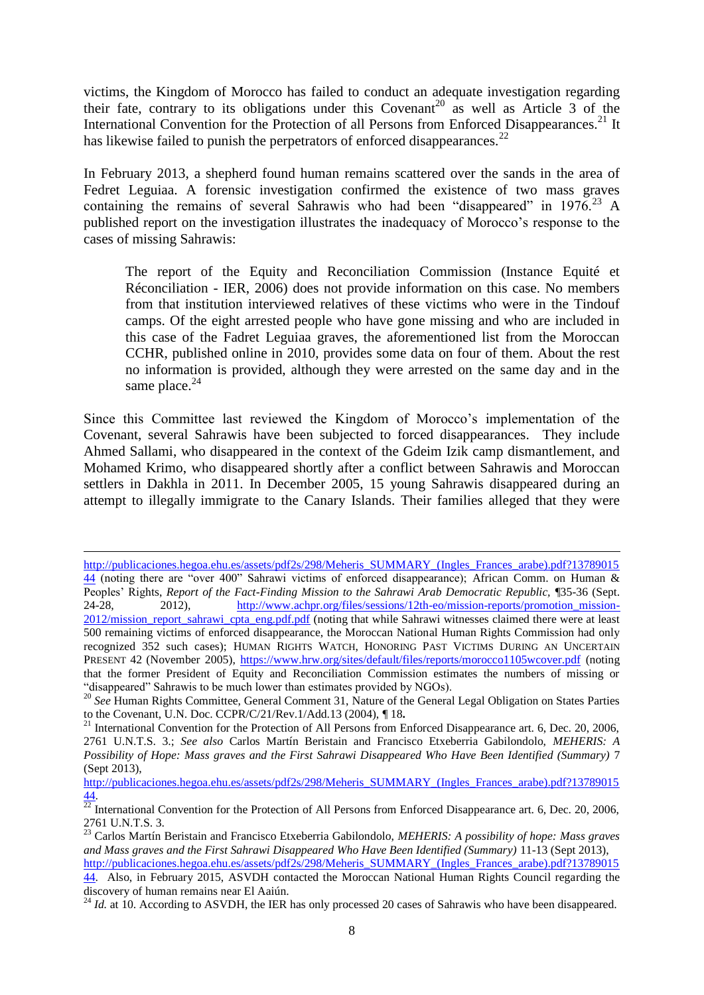victims, the Kingdom of Morocco has failed to conduct an adequate investigation regarding their fate, contrary to its obligations under this Covenant<sup>20</sup> as well as Article 3 of the International Convention for the Protection of all Persons from Enforced Disappearances.<sup>21</sup> It has likewise failed to punish the perpetrators of enforced disappearances.<sup>22</sup>

In February 2013, a shepherd found human remains scattered over the sands in the area of Fedret Leguiaa. A forensic investigation confirmed the existence of two mass graves containing the remains of several Sahrawis who had been "disappeared" in  $1976<sup>23</sup>$  A published report on the investigation illustrates the inadequacy of Morocco's response to the cases of missing Sahrawis:

The report of the Equity and Reconciliation Commission (Instance Equité et Réconciliation - IER, 2006) does not provide information on this case. No members from that institution interviewed relatives of these victims who were in the Tindouf camps. Of the eight arrested people who have gone missing and who are included in this case of the Fadret Leguiaa graves, the aforementioned list from the Moroccan CCHR, published online in 2010, provides some data on four of them. About the rest no information is provided, although they were arrested on the same day and in the same place. $^{24}$ 

Since this Committee last reviewed the Kingdom of Morocco's implementation of the Covenant, several Sahrawis have been subjected to forced disappearances. They include Ahmed Sallami, who disappeared in the context of the Gdeim Izik camp dismantlement, and Mohamed Krimo, who disappeared shortly after a conflict between Sahrawis and Moroccan settlers in Dakhla in 2011. In December 2005, 15 young Sahrawis disappeared during an attempt to illegally immigrate to the Canary Islands. Their families alleged that they were

[http://publicaciones.hegoa.ehu.es/assets/pdf2s/298/Meheris\\_SUMMARY\\_\(Ingles\\_Frances\\_arabe\).pdf?13789015](http://publicaciones.hegoa.ehu.es/assets/pdf2s/298/Meheris_SUMMARY_(Ingles_Frances_arabe).pdf?1378901544) [44](http://publicaciones.hegoa.ehu.es/assets/pdf2s/298/Meheris_SUMMARY_(Ingles_Frances_arabe).pdf?1378901544) (noting there are "over 400" Sahrawi victims of enforced disappearance); African Comm. on Human & Peoples' Rights, *Report of the Fact-Finding Mission to the Sahrawi Arab Democratic Republic,* [35-36 (Sept. 24-28, 2012), [http://www.achpr.org/files/sessions/12th-eo/mission-reports/promotion\\_mission-](http://www.achpr.org/files/sessions/12th-eo/mission-reports/promotion_mission-2012/mission_report_sahrawi_cpta_eng.pdf.pdf)[2012/mission\\_report\\_sahrawi\\_cpta\\_eng.pdf.pdf](http://www.achpr.org/files/sessions/12th-eo/mission-reports/promotion_mission-2012/mission_report_sahrawi_cpta_eng.pdf.pdf) (noting that while Sahrawi witnesses claimed there were at least 500 remaining victims of enforced disappearance, the Moroccan National Human Rights Commission had only recognized 352 such cases); HUMAN RIGHTS WATCH, HONORING PAST VICTIMS DURING AN UNCERTAIN PRESENT 42 (November 2005),<https://www.hrw.org/sites/default/files/reports/morocco1105wcover.pdf> (noting that the former President of Equity and Reconciliation Commission estimates the numbers of missing or "disappeared" Sahrawis to be much lower than estimates provided by NGOs).

<sup>&</sup>lt;sup>20</sup> See Human Rights Committee, General Comment 31, Nature of the General Legal Obligation on States Parties to the Covenant, U.N. Doc. CCPR/C/21/Rev.1/Add.13 (2004), ¶ 18**.**

 $^{21}$  International Convention for the Protection of All Persons from Enforced Disappearance art. 6, Dec. 20, 2006, 2761 U.N.T.S. 3.; *See also* Carlos Martín Beristain and Francisco Etxeberria Gabilondolo, *MEHERIS: A Possibility of Hope: Mass graves and the First Sahrawi Disappeared Who Have Been Identified (Summary)* 7 (Sept 2013),

[http://publicaciones.hegoa.ehu.es/assets/pdf2s/298/Meheris\\_SUMMARY\\_\(Ingles\\_Frances\\_arabe\).pdf?13789015](http://publicaciones.hegoa.ehu.es/assets/pdf2s/298/Meheris_SUMMARY_(Ingles_Frances_arabe).pdf?1378901544) [44.](http://publicaciones.hegoa.ehu.es/assets/pdf2s/298/Meheris_SUMMARY_(Ingles_Frances_arabe).pdf?1378901544)

 $\frac{22}{22}$  International Convention for the Protection of All Persons from Enforced Disappearance art. 6, Dec. 20, 2006, 2761 U.N.T.S. 3.

<sup>23</sup> Carlos Martín Beristain and Francisco Etxeberria Gabilondolo, *MEHERIS: A possibility of hope: Mass graves and Mass graves and the First Sahrawi Disappeared Who Have Been Identified (Summary)* 11-13 (Sept 2013), [http://publicaciones.hegoa.ehu.es/assets/pdf2s/298/Meheris\\_SUMMARY\\_\(Ingles\\_Frances\\_arabe\).pdf?13789015](http://publicaciones.hegoa.ehu.es/assets/pdf2s/298/Meheris_SUMMARY_(Ingles_Frances_arabe).pdf?1378901544)

[<sup>44.</sup>](http://publicaciones.hegoa.ehu.es/assets/pdf2s/298/Meheris_SUMMARY_(Ingles_Frances_arabe).pdf?1378901544) Also, in February 2015, ASVDH contacted the Moroccan National Human Rights Council regarding the discovery of human remains near El Aaiún.

<sup>&</sup>lt;sup>24</sup> *Id.* at 10. According to ASVDH, the IER has only processed 20 cases of Sahrawis who have been disappeared.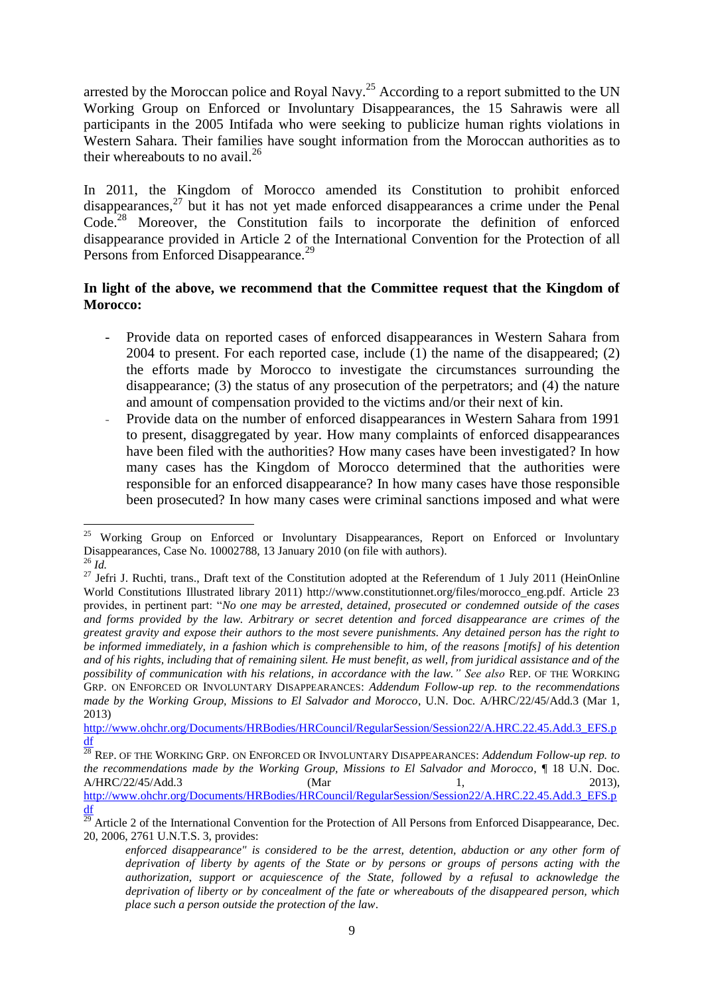arrested by the Moroccan police and Royal Navy.<sup>25</sup> According to a report submitted to the UN Working Group on Enforced or Involuntary Disappearances, the 15 Sahrawis were all participants in the 2005 Intifada who were seeking to publicize human rights violations in Western Sahara. Their families have sought information from the Moroccan authorities as to their whereabouts to no avail.<sup>26</sup>

In 2011, the Kingdom of Morocco amended its Constitution to prohibit enforced disappearances,<sup>27</sup> but it has not yet made enforced disappearances a crime under the Penal Code.<sup>28</sup> Moreover, the Constitution fails to incorporate the definition of enforced disappearance provided in Article 2 of the International Convention for the Protection of all Persons from Enforced Disappearance.<sup>29</sup>

#### **In light of the above, we recommend that the Committee request that the Kingdom of Morocco:**

- Provide data on reported cases of enforced disappearances in Western Sahara from 2004 to present. For each reported case, include (1) the name of the disappeared; (2) the efforts made by Morocco to investigate the circumstances surrounding the disappearance; (3) the status of any prosecution of the perpetrators; and (4) the nature and amount of compensation provided to the victims and/or their next of kin.
- Provide data on the number of enforced disappearances in Western Sahara from 1991 to present, disaggregated by year. How many complaints of enforced disappearances have been filed with the authorities? How many cases have been investigated? In how many cases has the Kingdom of Morocco determined that the authorities were responsible for an enforced disappearance? In how many cases have those responsible been prosecuted? In how many cases were criminal sanctions imposed and what were

<sup>1</sup> <sup>25</sup> Working Group on Enforced or Involuntary Disappearances, Report on Enforced or Involuntary Disappearances, Case No. 10002788, 13 January 2010 (on file with authors).  $^{26}$  *Id*.

<sup>&</sup>lt;sup>27</sup> Jefri J. Ruchti, trans., Draft text of the Constitution adopted at the Referendum of 1 July 2011 (HeinOnline World Constitutions Illustrated library 2011) http://www.constitutionnet.org/files/morocco\_eng.pdf. Article 23 provides, in pertinent part: "*No one may be arrested, detained, prosecuted or condemned outside of the cases and forms provided by the law. Arbitrary or secret detention and forced disappearance are crimes of the greatest gravity and expose their authors to the most severe punishments. Any detained person has the right to be informed immediately, in a fashion which is comprehensible to him, of the reasons [motifs] of his detention and of his rights, including that of remaining silent. He must benefit, as well, from juridical assistance and of the possibility of communication with his relations, in accordance with the law." See also* REP. OF THE WORKING GRP. ON ENFORCED OR INVOLUNTARY DISAPPEARANCES: *Addendum Follow-up rep. to the recommendations made by the Working Group, Missions to El Salvador and Morocco*, U.N. Doc. A/HRC/22/45/Add.3 (Mar 1, 2013)

[http://www.ohchr.org/Documents/HRBodies/HRCouncil/RegularSession/Session22/A.HRC.22.45.Add.3\\_EFS.p](http://www.ohchr.org/Documents/HRBodies/HRCouncil/RegularSession/Session22/A.HRC.22.45.Add.3_EFS.pdf) [df](http://www.ohchr.org/Documents/HRBodies/HRCouncil/RegularSession/Session22/A.HRC.22.45.Add.3_EFS.pdf)

<sup>28</sup> REP. OF THE WORKING GRP. ON ENFORCED OR INVOLUNTARY DISAPPEARANCES: *Addendum Follow-up rep. to the recommendations made by the Working Group, Missions to El Salvador and Morocco*, ¶ 18 U.N. Doc. A/HRC/22/45/Add.3 (Mar 1, 2013), [http://www.ohchr.org/Documents/HRBodies/HRCouncil/RegularSession/Session22/A.HRC.22.45.Add.3\\_EFS.p](http://www.ohchr.org/Documents/HRBodies/HRCouncil/RegularSession/Session22/A.HRC.22.45.Add.3_EFS.pdf) [df](http://www.ohchr.org/Documents/HRBodies/HRCouncil/RegularSession/Session22/A.HRC.22.45.Add.3_EFS.pdf)

 $^{29}$  Article 2 of the International Convention for the Protection of All Persons from Enforced Disappearance, Dec. 20, 2006, 2761 U.N.T.S. 3, provides:

*enforced disappearance" is considered to be the arrest, detention, abduction or any other form of deprivation of liberty by agents of the State or by persons or groups of persons acting with the authorization, support or acquiescence of the State, followed by a refusal to acknowledge the deprivation of liberty or by concealment of the fate or whereabouts of the disappeared person, which place such a person outside the protection of the law*.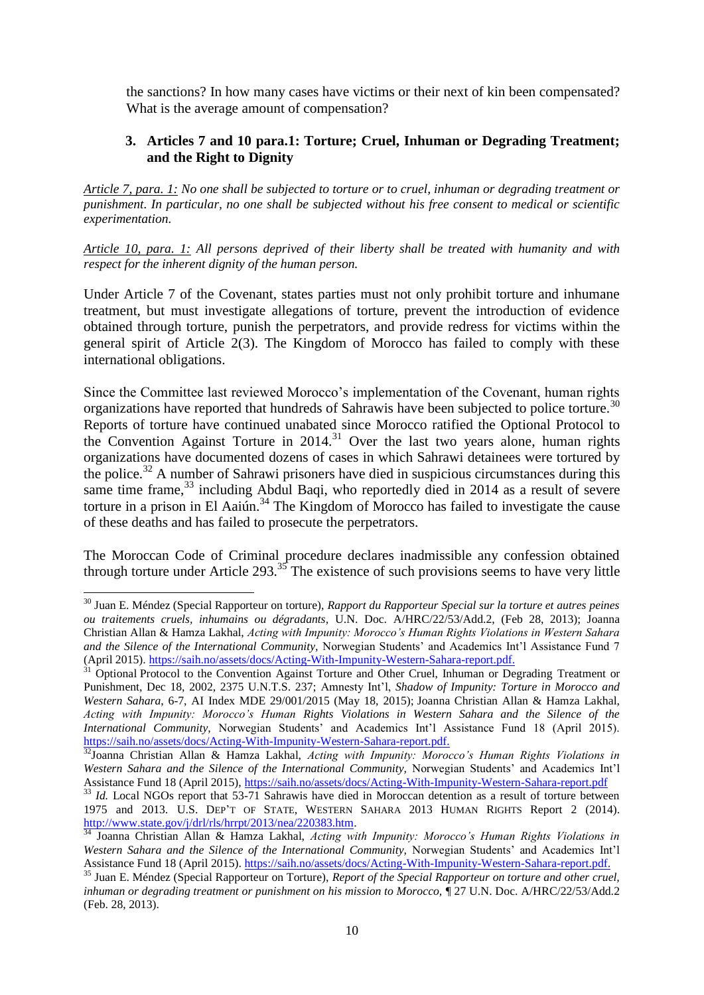the sanctions? In how many cases have victims or their next of kin been compensated? What is the average amount of compensation?

## **3. Articles 7 and 10 para.1: Torture; Cruel, Inhuman or Degrading Treatment; and the Right to Dignity**

*Article 7, para. 1: No one shall be subjected to torture or to cruel, inhuman or degrading treatment or punishment. In particular, no one shall be subjected without his free consent to medical or scientific experimentation.*

*Article 10, para. 1: All persons deprived of their liberty shall be treated with humanity and with respect for the inherent dignity of the human person.*

Under Article 7 of the Covenant, states parties must not only prohibit torture and inhumane treatment, but must investigate allegations of torture, prevent the introduction of evidence obtained through torture, punish the perpetrators, and provide redress for victims within the general spirit of Article 2(3). The Kingdom of Morocco has failed to comply with these international obligations.

Since the Committee last reviewed Morocco's implementation of the Covenant, human rights organizations have reported that hundreds of Sahrawis have been subjected to police torture.<sup>30</sup> Reports of torture have continued unabated since Morocco ratified the Optional Protocol to the Convention Against Torture in  $2014$ <sup>31</sup> Over the last two years alone, human rights organizations have documented dozens of cases in which Sahrawi detainees were tortured by the police.<sup>32</sup> A number of Sahrawi prisoners have died in suspicious circumstances during this same time frame,<sup>33</sup> including Abdul Baqi, who reportedly died in 2014 as a result of severe torture in a prison in El Aaiún.<sup>34</sup> The Kingdom of Morocco has failed to investigate the cause of these deaths and has failed to prosecute the perpetrators.

The Moroccan Code of Criminal procedure declares inadmissible any confession obtained through torture under Article 293. $35$  The existence of such provisions seems to have very little

<sup>30</sup> Juan E. Méndez (Special Rapporteur on torture), *Rapport du Rapporteur Special sur la torture et autres peines ou traitements cruels, inhumains ou dégradants,* U.N. Doc. A/HRC/22/53/Add.2, (Feb 28, 2013); Joanna Christian Allan & Hamza Lakhal, *Acting with Impunity: Morocco's Human Rights Violations in Western Sahara and the Silence of the International Community,* Norwegian Students' and Academics Int'l Assistance Fund 7 (April 2015). [https://saih.no/assets/docs/Acting-With-Impunity-Western-Sahara-report.pdf.](https://saih.no/assets/docs/Acting-With-Impunity-Western-Sahara-report.pdf)

<sup>31</sup> Optional Protocol to the Convention Against Torture and Other Cruel, Inhuman or Degrading Treatment or Punishment, Dec 18, 2002, 2375 U.N.T.S. 237; Amnesty Int'l, *Shadow of Impunity: Torture in Morocco and Western Sahara*, 6-7, AI Index MDE 29/001/2015 (May 18, 2015); Joanna Christian Allan & Hamza Lakhal, *Acting with Impunity: Morocco's Human Rights Violations in Western Sahara and the Silence of the International Community,* Norwegian Students' and Academics Int'l Assistance Fund 18 (April 2015). [https://saih.no/assets/docs/Acting-With-Impunity-Western-Sahara-report.pdf.](https://saih.no/assets/docs/Acting-With-Impunity-Western-Sahara-report.pdf)

<sup>32</sup>Joanna Christian Allan & Hamza Lakhal, *Acting with Impunity: Morocco's Human Rights Violations in Western Sahara and the Silence of the International Community,* Norwegian Students' and Academics Int'l Assistance Fund 18 (April 2015),<https://saih.no/assets/docs/Acting-With-Impunity-Western-Sahara-report.pdf>

<sup>&</sup>lt;sup>33</sup> *Id.* Local NGOs report that 53-71 Sahrawis have died in Moroccan detention as a result of torture between 1975 and 2013. U.S. DEP'T OF STATE, WESTERN SAHARA 2013 HUMAN RIGHTS Report 2 (2014). [http://www.state.gov/j/drl/rls/hrrpt/2013/nea/220383.htm.](http://www.state.gov/j/drl/rls/hrrpt/2013/nea/220383.htm)

<sup>&</sup>lt;sup>34</sup> Joanna Christian Allan & Hamza Lakhal, *Acting with Impunity: Morocco's Human Rights Violations in Western Sahara and the Silence of the International Community,* Norwegian Students' and Academics Int'l Assistance Fund 18 (April 2015). [https://saih.no/assets/docs/Acting-With-Impunity-Western-Sahara-report.pdf.](https://saih.no/assets/docs/Acting-With-Impunity-Western-Sahara-report.pdf)

<sup>35</sup> Juan E. Méndez (Special Rapporteur on Torture), *Report of the Special Rapporteur on torture and other cruel, inhuman or degrading treatment or punishment on his mission to Morocco,*  $\parallel$  27 U.N. Doc. A/HRC/22/53/Add.2 (Feb. 28, 2013).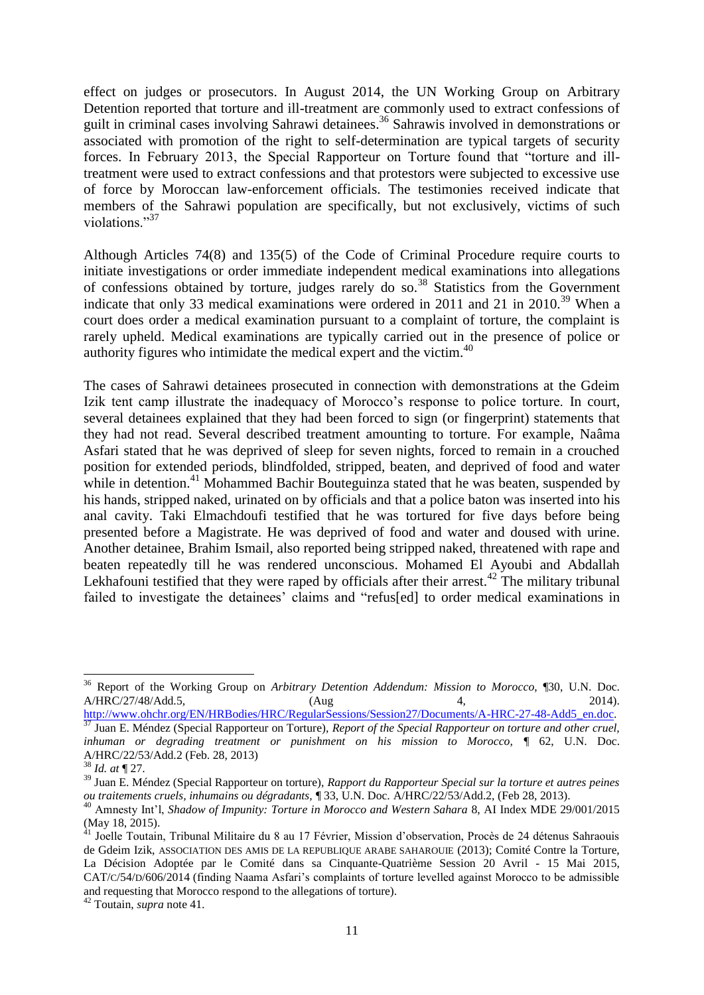effect on judges or prosecutors. In August 2014, the UN Working Group on Arbitrary Detention reported that torture and ill-treatment are commonly used to extract confessions of guilt in criminal cases involving Sahrawi detainees. <sup>36</sup> Sahrawis involved in demonstrations or associated with promotion of the right to self-determination are typical targets of security forces. In February 2013, the Special Rapporteur on Torture found that "torture and illtreatment were used to extract confessions and that protestors were subjected to excessive use of force by Moroccan law-enforcement officials. The testimonies received indicate that members of the Sahrawi population are specifically, but not exclusively, victims of such violations."<sup>37</sup>

Although Articles 74(8) and 135(5) of the Code of Criminal Procedure require courts to initiate investigations or order immediate independent medical examinations into allegations of confessions obtained by torture, judges rarely do so.<sup>38</sup> Statistics from the Government indicate that only 33 medical examinations were ordered in 2011 and 21 in 2010.<sup>39</sup> When a court does order a medical examination pursuant to a complaint of torture, the complaint is rarely upheld. Medical examinations are typically carried out in the presence of police or authority figures who intimidate the medical expert and the victim. $40$ 

The cases of Sahrawi detainees prosecuted in connection with demonstrations at the Gdeim Izik tent camp illustrate the inadequacy of Morocco's response to police torture. In court, several detainees explained that they had been forced to sign (or fingerprint) statements that they had not read. Several described treatment amounting to torture. For example, Naâma Asfari stated that he was deprived of sleep for seven nights, forced to remain in a crouched position for extended periods, blindfolded, stripped, beaten, and deprived of food and water while in detention.<sup>41</sup> Mohammed Bachir Bouteguinza stated that he was beaten, suspended by his hands, stripped naked, urinated on by officials and that a police baton was inserted into his anal cavity. Taki Elmachdoufi testified that he was tortured for five days before being presented before a Magistrate. He was deprived of food and water and doused with urine. Another detainee, Brahim Ismail, also reported being stripped naked, threatened with rape and beaten repeatedly till he was rendered unconscious. Mohamed El Ayoubi and Abdallah Lekhafouni testified that they were raped by officials after their arrest.<sup>42</sup> The military tribunal failed to investigate the detainees' claims and "refus[ed] to order medical examinations in

<sup>36</sup> Report of the Working Group on *Arbitrary Detention Addendum: Mission to Morocco*, ¶30, U.N. Doc. A/HRC/27/48/Add.5, (Aug 4, 2014). [http://www.ohchr.org/EN/HRBodies/HRC/RegularSessions/Session27/Documents/A-HRC-27-48-Add5\\_en.doc.](http://www.ohchr.org/EN/HRBodies/HRC/RegularSessions/Session27/Documents/A-HRC-27-48-Add5_en.doc)

<sup>37</sup> Juan E. Méndez (Special Rapporteur on Torture), *Report of the Special Rapporteur on torture and other cruel, inhuman or degrading treatment or punishment on his mission to Morocco,* ¶ 62, U.N. Doc. A/HRC/22/53/Add.2 (Feb. 28, 2013)

<sup>38</sup> *Id. at* ¶ 27.

<sup>39</sup> Juan E. Méndez (Special Rapporteur on torture), *Rapport du Rapporteur Special sur la torture et autres peines ou traitements cruels, inhumains ou dégradants,* ¶ 33, U.N. Doc. A/HRC/22/53/Add.2, (Feb 28, 2013).

<sup>40</sup> Amnesty Int'l, *Shadow of Impunity: Torture in Morocco and Western Sahara* 8, AI Index MDE 29/001/2015 (May 18, 2015).

<sup>41</sup> Joelle Toutain, Tribunal Militaire du 8 au 17 Février, Mission d'observation, Procès de 24 détenus Sahraouis de Gdeim Izik, ASSOCIATION DES AMIS DE LA REPUBLIQUE ARABE SAHAROUIE (2013); Comité Contre la Torture, La Décision Adoptée par le Comité dans sa Cinquante-Quatrième Session 20 Avril - 15 Mai 2015, CAT/C/54/D/606/2014 (finding Naama Asfari's complaints of torture levelled against Morocco to be admissible and requesting that Morocco respond to the allegations of torture).

<sup>42</sup> Toutain, *supra* note 41.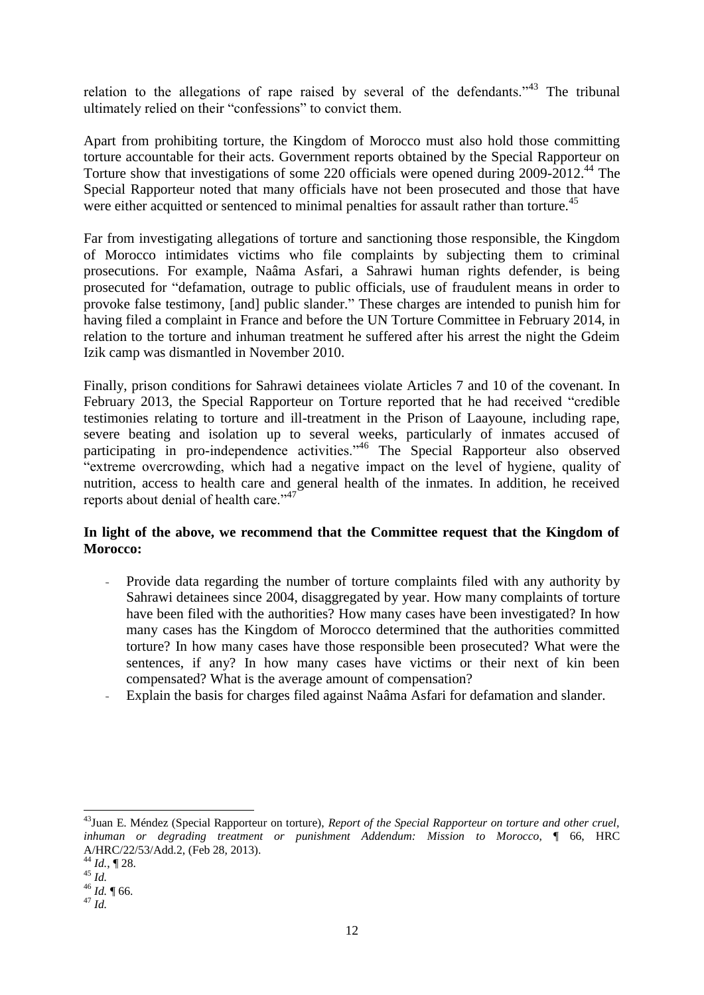relation to the allegations of rape raised by several of the defendants.<sup> $343$ </sup> The tribunal ultimately relied on their "confessions" to convict them.

Apart from prohibiting torture, the Kingdom of Morocco must also hold those committing torture accountable for their acts. Government reports obtained by the Special Rapporteur on Torture show that investigations of some 220 officials were opened during 2009-2012.<sup>44</sup> The Special Rapporteur noted that many officials have not been prosecuted and those that have were either acquitted or sentenced to minimal penalties for assault rather than torture.<sup>45</sup>

Far from investigating allegations of torture and sanctioning those responsible, the Kingdom of Morocco intimidates victims who file complaints by subjecting them to criminal prosecutions. For example, Naâma Asfari, a Sahrawi human rights defender, is being prosecuted for "defamation, outrage to public officials, use of fraudulent means in order to provoke false testimony, [and] public slander." These charges are intended to punish him for having filed a complaint in France and before the UN Torture Committee in February 2014, in relation to the torture and inhuman treatment he suffered after his arrest the night the Gdeim Izik camp was dismantled in November 2010.

Finally, prison conditions for Sahrawi detainees violate Articles 7 and 10 of the covenant. In February 2013, the Special Rapporteur on Torture reported that he had received "credible testimonies relating to torture and ill-treatment in the Prison of Laayoune, including rape, severe beating and isolation up to several weeks, particularly of inmates accused of participating in pro-independence activities."<sup>46</sup> The Special Rapporteur also observed "extreme overcrowding, which had a negative impact on the level of hygiene, quality of nutrition, access to health care and general health of the inmates. In addition, he received reports about denial of health care."<sup>47</sup>

## **In light of the above, we recommend that the Committee request that the Kingdom of Morocco:**

- Provide data regarding the number of torture complaints filed with any authority by Sahrawi detainees since 2004, disaggregated by year. How many complaints of torture have been filed with the authorities? How many cases have been investigated? In how many cases has the Kingdom of Morocco determined that the authorities committed torture? In how many cases have those responsible been prosecuted? What were the sentences, if any? In how many cases have victims or their next of kin been compensated? What is the average amount of compensation?
- Explain the basis for charges filed against Naâma Asfari for defamation and slander.

<sup>43</sup>Juan E. Méndez (Special Rapporteur on torture), *Report of the Special Rapporteur on torture and other cruel, inhuman or degrading treatment or punishment Addendum: Mission to Morocco*, ¶ 66, HRC A/HRC/22/53/Add.2, (Feb 28, 2013).

 $\frac{44}{4}$ *Id.*, 128.

<sup>45</sup> *Id.* 

<sup>46</sup> *Id.* ¶ 66.

<sup>47</sup> *Id.*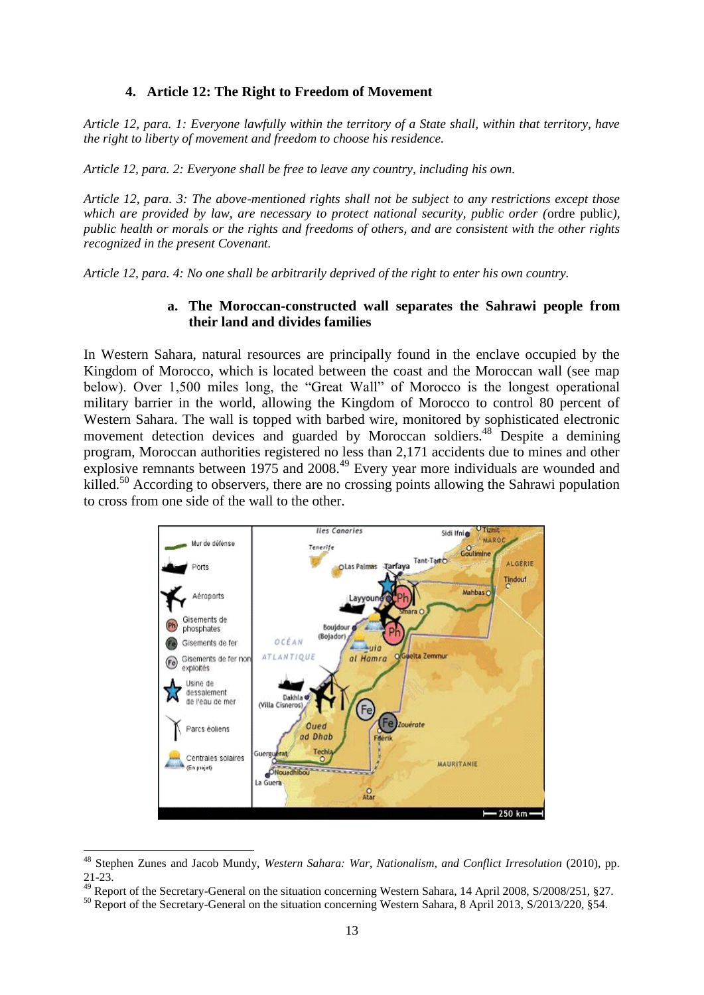#### **4. Article 12: The Right to Freedom of Movement**

*Article 12, para. 1: Everyone lawfully within the territory of a State shall, within that territory, have the right to liberty of movement and freedom to choose his residence.*

*Article 12, para. 2: Everyone shall be free to leave any country, including his own.*

*Article 12, para. 3: The above-mentioned rights shall not be subject to any restrictions except those which are provided by law, are necessary to protect national security, public order (*ordre public*), public health or morals or the rights and freedoms of others, and are consistent with the other rights recognized in the present Covenant.*

*Article 12, para. 4: No one shall be arbitrarily deprived of the right to enter his own country.*

#### **a. The Moroccan-constructed wall separates the Sahrawi people from their land and divides families**

In Western Sahara, natural resources are principally found in the enclave occupied by the Kingdom of Morocco, which is located between the coast and the Moroccan wall (see map below). Over 1,500 miles long, the "Great Wall" of Morocco is the longest operational military barrier in the world, allowing the Kingdom of Morocco to control 80 percent of Western Sahara. The wall is topped with barbed wire, monitored by sophisticated electronic movement detection devices and guarded by Moroccan soldiers.<sup>48</sup> Despite a demining program, Moroccan authorities registered no less than 2,171 accidents due to mines and other explosive remnants between 1975 and 2008.<sup>49</sup> Every year more individuals are wounded and killed.<sup>50</sup> According to observers, there are no crossing points allowing the Sahrawi population to cross from one side of the wall to the other.



<sup>&</sup>lt;sup>48</sup> Stephen Zunes and Jacob Mundy, *Western Sahara: War, Nationalism, and Conflict Irresolution* (2010), pp. 21-23.

<sup>&</sup>lt;sup>49</sup> Report of the Secretary-General on the situation concerning Western Sahara, 14 April 2008, S/2008/251, §27.

<sup>&</sup>lt;sup>50</sup> Report of the Secretary-General on the situation concerning Western Sahara, 8 April 2013, S/2013/220, §54.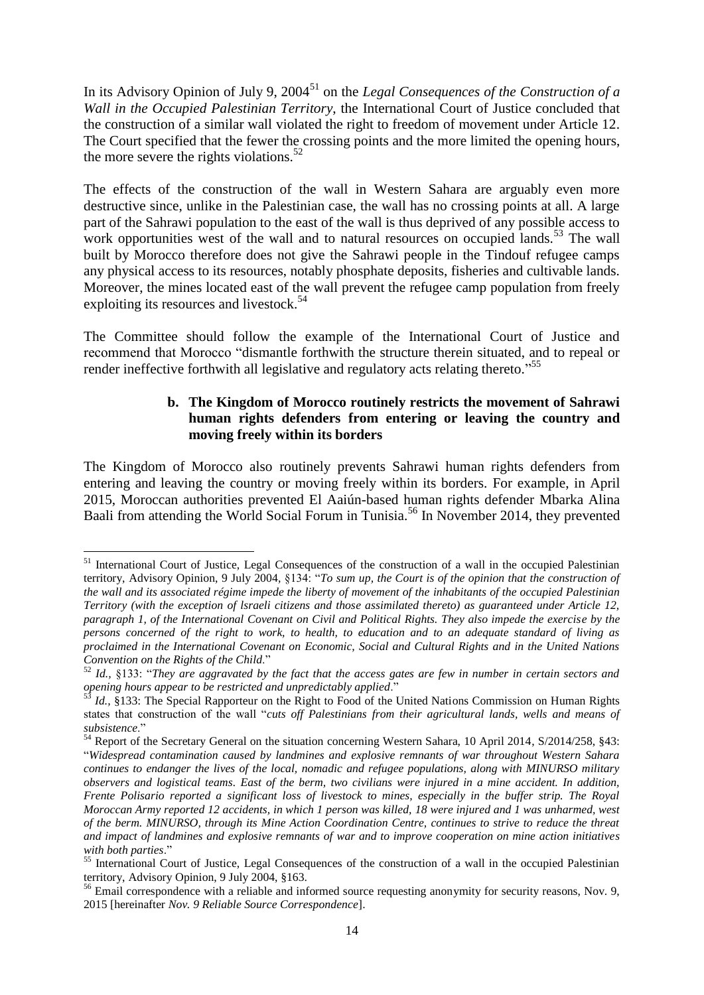In its Advisory Opinion of July 9, 2004<sup>51</sup> on the *Legal Consequences of the Construction of a Wall in the Occupied Palestinian Territory*, the International Court of Justice concluded that the construction of a similar wall violated the right to freedom of movement under Article 12. The Court specified that the fewer the crossing points and the more limited the opening hours, the more severe the rights violations.<sup>52</sup>

The effects of the construction of the wall in Western Sahara are arguably even more destructive since, unlike in the Palestinian case, the wall has no crossing points at all. A large part of the Sahrawi population to the east of the wall is thus deprived of any possible access to work opportunities west of the wall and to natural resources on occupied lands.<sup>53</sup> The wall built by Morocco therefore does not give the Sahrawi people in the Tindouf refugee camps any physical access to its resources, notably phosphate deposits, fisheries and cultivable lands. Moreover, the mines located east of the wall prevent the refugee camp population from freely exploiting its resources and livestock.<sup>54</sup>

The Committee should follow the example of the International Court of Justice and recommend that Morocco "dismantle forthwith the structure therein situated, and to repeal or render ineffective forthwith all legislative and regulatory acts relating thereto."<sup>55</sup>

#### <span id="page-14-0"></span>**b. The Kingdom of Morocco routinely restricts the movement of Sahrawi human rights defenders from entering or leaving the country and moving freely within its borders**

The Kingdom of Morocco also routinely prevents Sahrawi human rights defenders from entering and leaving the country or moving freely within its borders. For example, in April 2015, Moroccan authorities prevented El Aaiún-based human rights defender Mbarka Alina Baali from attending the World Social Forum in Tunisia.<sup>56</sup> In November 2014, they prevented

<sup>&</sup>lt;sup>51</sup> International Court of Justice, Legal Consequences of the construction of a wall in the occupied Palestinian territory, Advisory Opinion, 9 July 2004*,* §134: "*To sum up, the Court is of the opinion that the construction of the wall and its associated régime impede the liberty of movement of the inhabitants of the occupied Palestinian Territory (with the exception of lsraeli citizens and those assimilated thereto) as guaranteed under Article 12, paragraph 1, of the International Covenant on Civil and Political Rights. They also impede the exercise by the persons concerned of the right to work, to health, to education and to an adequate standard of living as proclaimed in the International Covenant on Economic, Social and Cultural Rights and in the United Nations Convention on the Rights of the Child*."

<sup>52</sup> *Id.,* §133: "*They are aggravated by the fact that the access gates are few in number in certain sectors and opening hours appear to be restricted and unpredictably applied*."

Id., §133: The Special Rapporteur on the Right to Food of the United Nations Commission on Human Rights states that construction of the wall "*cuts off Palestinians from their agricultural lands, wells and means of subsistence*."

<sup>&</sup>lt;sup>54</sup> Report of the Secretary General on the situation concerning Western Sahara, 10 April 2014, S/2014/258, §43: "*Widespread contamination caused by landmines and explosive remnants of war throughout Western Sahara continues to endanger the lives of the local, nomadic and refugee populations, along with MINURSO military observers and logistical teams. East of the berm, two civilians were injured in a mine accident. In addition, Frente Polisario reported a significant loss of livestock to mines, especially in the buffer strip. The Royal Moroccan Army reported 12 accidents, in which 1 person was killed, 18 were injured and 1 was unharmed, west of the berm. MINURSO, through its Mine Action Coordination Centre, continues to strive to reduce the threat and impact of landmines and explosive remnants of war and to improve cooperation on mine action initiatives with both parties*."

<sup>&</sup>lt;sup>55</sup> International Court of Justice, Legal Consequences of the construction of a wall in the occupied Palestinian territory, Advisory Opinion, 9 July 2004, §163.

<sup>&</sup>lt;sup>56</sup> Email correspondence with a reliable and informed source requesting anonymity for security reasons, Nov. 9, 2015 [hereinafter *Nov. 9 Reliable Source Correspondence*].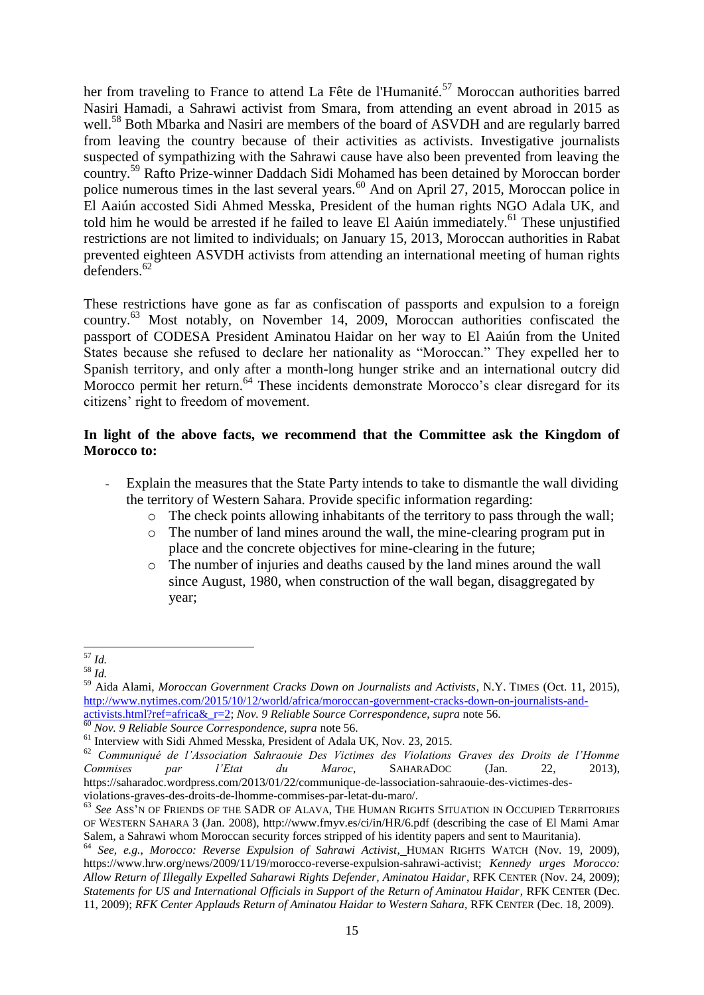<span id="page-15-0"></span>her from traveling to France to attend La Fête de l'Humanité.<sup>57</sup> Moroccan authorities barred Nasiri Hamadi, a Sahrawi activist from Smara, from attending an event abroad in 2015 as well.<sup>58</sup> Both Mbarka and Nasiri are members of the board of ASVDH and are regularly barred from leaving the country because of their activities as activists. Investigative journalists suspected of sympathizing with the Sahrawi cause have also been prevented from leaving the country.<sup>59</sup> Rafto Prize-winner Daddach Sidi Mohamed has been detained by Moroccan border police numerous times in the last several years.<sup>60</sup> And on April 27, 2015, Moroccan police in El Aaiún accosted Sidi Ahmed Messka, President of the human rights NGO Adala UK, and told him he would be arrested if he failed to leave El Aaiún immediately.<sup>61</sup> These unjustified restrictions are not limited to individuals; on January 15, 2013, Moroccan authorities in Rabat prevented eighteen ASVDH activists from attending an international meeting of human rights defenders.<sup>62</sup>

These restrictions have gone as far as confiscation of passports and expulsion to a foreign country.<sup>63</sup> Most notably, on November 14, 2009, Moroccan authorities confiscated the passport of CODESA President Aminatou Haidar on her way to El Aaiún from the United States because she refused to declare her nationality as "Moroccan." They expelled her to Spanish territory, and only after a month-long hunger strike and an international outcry did Morocco permit her return.<sup>64</sup> These incidents demonstrate Morocco's clear disregard for its citizens' right to freedom of movement.

#### **In light of the above facts, we recommend that the Committee ask the Kingdom of Morocco to:**

- Explain the measures that the State Party intends to take to dismantle the wall dividing the territory of Western Sahara. Provide specific information regarding:
	- o The check points allowing inhabitants of the territory to pass through the wall;
	- o The number of land mines around the wall, the mine-clearing program put in place and the concrete objectives for mine-clearing in the future;
	- o The number of injuries and deaths caused by the land mines around the wall since August, 1980, when construction of the wall began, disaggregated by year;

<sup>1</sup> <sup>57</sup> *Id.*

<sup>58</sup> *Id.*

<sup>59</sup> Aida Alami, *Moroccan Government Cracks Down on Journalists and Activists*, N.Y. TIMES (Oct. 11, 2015), [http://www.nytimes.com/2015/10/12/world/africa/moroccan-government-cracks-down-on-journalists-and](http://www.nytimes.com/2015/10/12/world/africa/moroccan-government-cracks-down-on-journalists-and-activists.html?ref=africa&_r=2)[activists.html?ref=africa&\\_r=2;](http://www.nytimes.com/2015/10/12/world/africa/moroccan-government-cracks-down-on-journalists-and-activists.html?ref=africa&_r=2) *Nov. 9 Reliable Source Correspondence*, *supra* note [56.](#page-14-0)

<sup>60</sup> *Nov. 9 Reliable Source Correspondence, supra* not[e 56.](#page-14-0)

<sup>&</sup>lt;sup>61</sup> Interview with Sidi Ahmed Messka, President of Adala UK, Nov. 23, 2015.

<sup>62</sup> *Communiqué de l'Association Sahraouie Des Victimes des Violations Graves des Droits de l'Homme Commises par l'Etat du Maroc*, SAHARADOC (Jan. 22, 2013), https://saharadoc.wordpress.com/2013/01/22/communique-de-lassociation-sahraouie-des-victimes-desviolations-graves-des-droits-de-lhomme-commises-par-letat-du-maro/.

<sup>63</sup> *See* ASS'<sup>N</sup> OF FRIENDS OF THE SADR OF ALAVA, THE HUMAN RIGHTS SITUATION IN OCCUPIED TERRITORIES OF WESTERN SAHARA 3 (Jan. 2008), http://www.fmyv.es/ci/in/HR/6.pdf (describing the case of El Mami Amar Salem, a Sahrawi whom Moroccan security forces stripped of his identity papers and sent to Mauritania).

<sup>64</sup> *See, e.g.*, *Morocco: Reverse Expulsion of Sahrawi Activist*, HUMAN RIGHTS WATCH (Nov. 19, 2009), https://www.hrw.org/news/2009/11/19/morocco-reverse-expulsion-sahrawi-activist; *Kennedy urges Morocco: Allow Return of Illegally Expelled Saharawi Rights Defender, Aminatou Haidar*, RFK CENTER (Nov. 24, 2009); *Statements for US and International Officials in Support of the Return of Aminatou Haidar*, RFK CENTER (Dec. 11, 2009); *RFK Center Applauds Return of Aminatou Haidar to Western Sahara*, RFK CENTER (Dec. 18, 2009).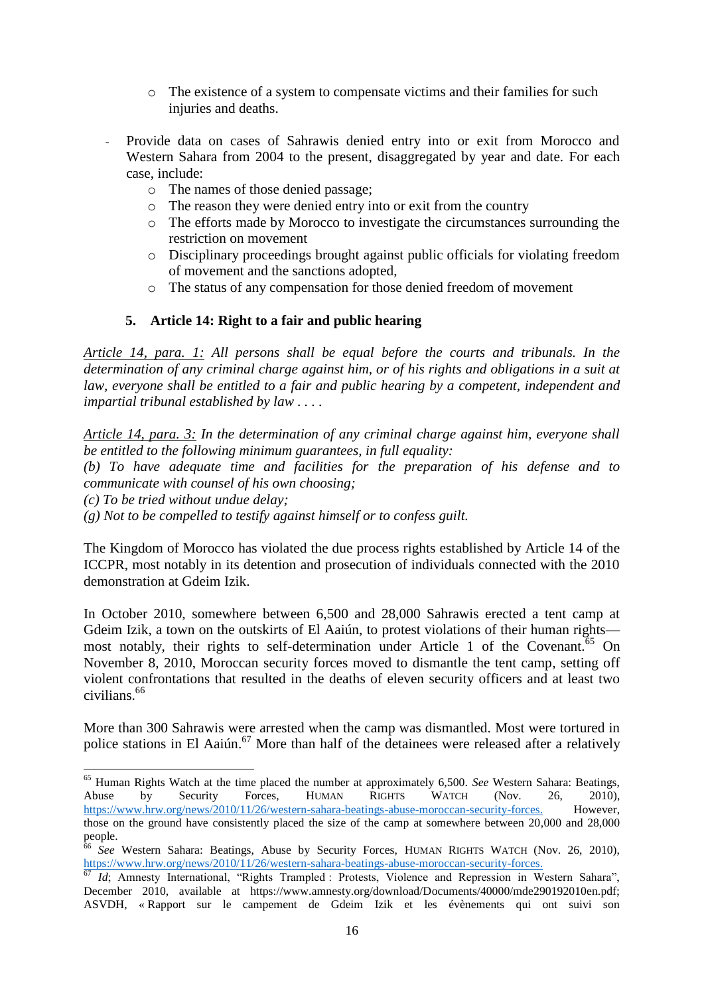- o The existence of a system to compensate victims and their families for such injuries and deaths.
- Provide data on cases of Sahrawis denied entry into or exit from Morocco and Western Sahara from 2004 to the present, disaggregated by year and date. For each case, include:
	- o The names of those denied passage;
	- o The reason they were denied entry into or exit from the country
	- o The efforts made by Morocco to investigate the circumstances surrounding the restriction on movement
	- o Disciplinary proceedings brought against public officials for violating freedom of movement and the sanctions adopted,
	- o The status of any compensation for those denied freedom of movement

#### **5. Article 14: Right to a fair and public hearing**

*Article 14, para. 1: All persons shall be equal before the courts and tribunals. In the determination of any criminal charge against him, or of his rights and obligations in a suit at*  law, everyone shall be entitled to a fair and public hearing by a competent, independent and *impartial tribunal established by law . . . .*

*Article 14, para. 3: In the determination of any criminal charge against him, everyone shall be entitled to the following minimum guarantees, in full equality:*

*(b) To have adequate time and facilities for the preparation of his defense and to communicate with counsel of his own choosing;*

*(c) To be tried without undue delay;*

*(g) Not to be compelled to testify against himself or to confess guilt.*

The Kingdom of Morocco has violated the due process rights established by Article 14 of the ICCPR, most notably in its detention and prosecution of individuals connected with the 2010 demonstration at Gdeim Izik.

In October 2010, somewhere between 6,500 and 28,000 Sahrawis erected a tent camp at Gdeim Izik, a town on the outskirts of El Aaiún, to protest violations of their human rights most notably, their rights to self-determination under Article 1 of the Covenant.<sup>65</sup> On November 8, 2010, Moroccan security forces moved to dismantle the tent camp, setting off violent confrontations that resulted in the deaths of eleven security officers and at least two civilians.<sup>66</sup>

More than 300 Sahrawis were arrested when the camp was dismantled. Most were tortured in police stations in El Aaiún. <sup>67</sup> More than half of the detainees were released after a relatively

<sup>-</sup><sup>65</sup> Human Rights Watch at the time placed the number at approximately 6,500. *See* Western Sahara: Beatings, Abuse by Security Forces, HUMAN RIGHTS WATCH (Nov. 26, 2010), [https://www.hrw.org/news/2010/11/26/western-sahara-beatings-abuse-moroccan-security-forces.](https://www.hrw.org/news/2010/11/26/western-sahara-beatings-abuse-moroccan-security-forces) However, those on the ground have consistently placed the size of the camp at somewhere between 20,000 and 28,000 people.

<sup>66</sup> *See* Western Sahara: Beatings, Abuse by Security Forces, HUMAN RIGHTS WATCH (Nov. 26, 2010), [https://www.hrw.org/news/2010/11/26/western-sahara-beatings-abuse-moroccan-security-forces.](https://www.hrw.org/news/2010/11/26/western-sahara-beatings-abuse-moroccan-security-forces)

<sup>&</sup>lt;sup>67</sup> *Id*; Amnesty International, "Rights Trampled : Protests, Violence and Repression in Western Sahara", December 2010, available at https://www.amnesty.org/download/Documents/40000/mde290192010en.pdf; ASVDH, « Rapport sur le campement de Gdeim Izik et les évènements qui ont suivi son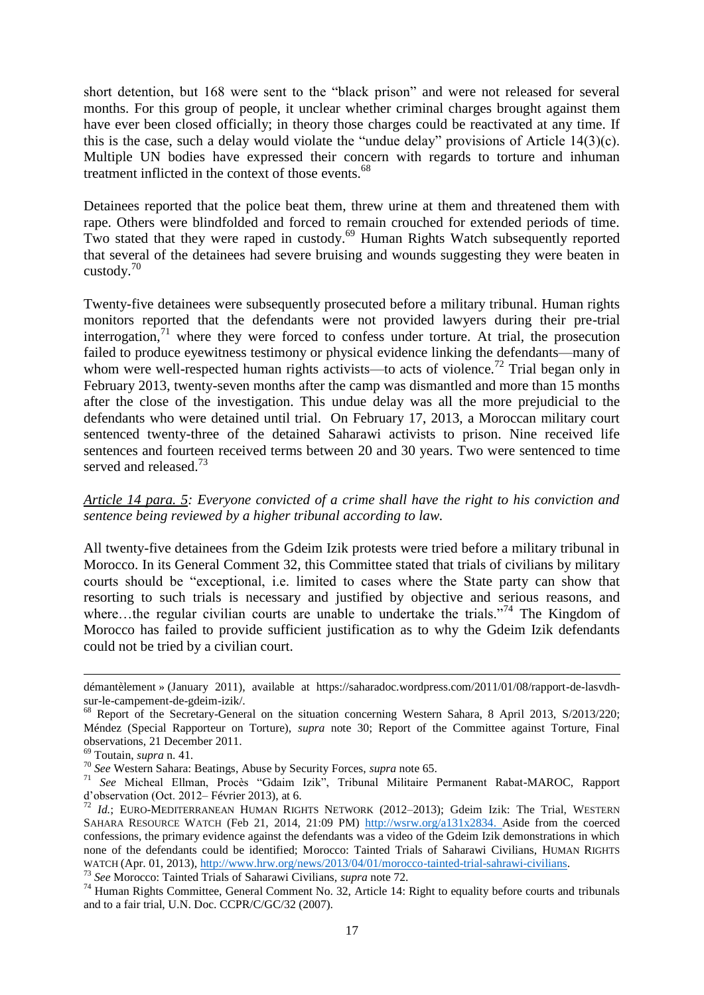short detention, but 168 were sent to the "black prison" and were not released for several months. For this group of people, it unclear whether criminal charges brought against them have ever been closed officially; in theory those charges could be reactivated at any time. If this is the case, such a delay would violate the "undue delay" provisions of Article 14(3)(c). Multiple UN bodies have expressed their concern with regards to torture and inhuman treatment inflicted in the context of those events.<sup>68</sup>

Detainees reported that the police beat them, threw urine at them and threatened them with rape. Others were blindfolded and forced to remain crouched for extended periods of time. Two stated that they were raped in custody.<sup>69</sup> Human Rights Watch subsequently reported that several of the detainees had severe bruising and wounds suggesting they were beaten in custody.<sup>70</sup>

Twenty-five detainees were subsequently prosecuted before a military tribunal. Human rights monitors reported that the defendants were not provided lawyers during their pre-trial interrogation,<sup>71</sup> where they were forced to confess under torture. At trial, the prosecution failed to produce eyewitness testimony or physical evidence linking the defendants—many of whom were well-respected human rights activists—to acts of violence.<sup>72</sup> Trial began only in February 2013, twenty-seven months after the camp was dismantled and more than 15 months after the close of the investigation. This undue delay was all the more prejudicial to the defendants who were detained until trial. On February 17, 2013, a Moroccan military court sentenced twenty-three of the detained Saharawi activists to prison. Nine received life sentences and fourteen received terms between 20 and 30 years. Two were sentenced to time served and released.<sup>73</sup>

*Article 14 para. 5: Everyone convicted of a crime shall have the right to his conviction and sentence being reviewed by a higher tribunal according to law.*

All twenty-five detainees from the Gdeim Izik protests were tried before a military tribunal in Morocco. In its General Comment 32, this Committee stated that trials of civilians by military courts should be "exceptional, i.e. limited to cases where the State party can show that resorting to such trials is necessary and justified by objective and serious reasons, and where...the regular civilian courts are unable to undertake the trials."<sup>74</sup> The Kingdom of Morocco has failed to provide sufficient justification as to why the Gdeim Izik defendants could not be tried by a civilian court.

-

<sup>73</sup> *See* Morocco: Tainted Trials of Saharawi Civilians, *supra* note 72.

démantèlement » (January 2011), available at https://saharadoc.wordpress.com/2011/01/08/rapport-de-lasvdhsur-le-campement-de-gdeim-izik/.

<sup>68</sup> Report of the Secretary-General on the situation concerning Western Sahara, 8 April 2013, S/2013/220; Méndez (Special Rapporteur on Torture), *supra* note 30; Report of the Committee against Torture, Final observations, 21 December 2011.

<sup>69</sup> Toutain, *supra* n. 41.

<sup>70</sup> *See* Western Sahara: Beatings, Abuse by Security Forces, *supra* note 65.

<sup>71</sup> *See* Micheal Ellman, Procès "Gdaim Izik", Tribunal Militaire Permanent Rabat-MAROC, Rapport d'observation (Oct. 2012– Février 2013), at 6.

<sup>72</sup> *Id.*; EURO-MEDITERRANEAN HUMAN RIGHTS NETWORK (2012–2013); Gdeim Izik: The Trial, WESTERN SAHARA RESOURCE WATCH (Feb 21, 2014, 21:09 PM) [http://wsrw.org/a131x2834.](http://wsrw.org/a131x2834) Aside from the coerced confessions, the primary evidence against the defendants was a video of the Gdeim Izik demonstrations in which none of the defendants could be identified; Morocco: Tainted Trials of Saharawi Civilians, HUMAN RIGHTS WATCH (Apr. 01, 2013), [http://www.hrw.org/news/2013/04/01/morocco-tainted-trial-sahrawi-civilians.](http://www.hrw.org/news/2013/04/01/morocco-tainted-trial-sahrawi-civilians)

<sup>&</sup>lt;sup>74</sup> Human Rights Committee, General Comment No. 32, Article 14: Right to equality before courts and tribunals and to a fair trial, U.N. Doc. CCPR/C/GC/32 (2007).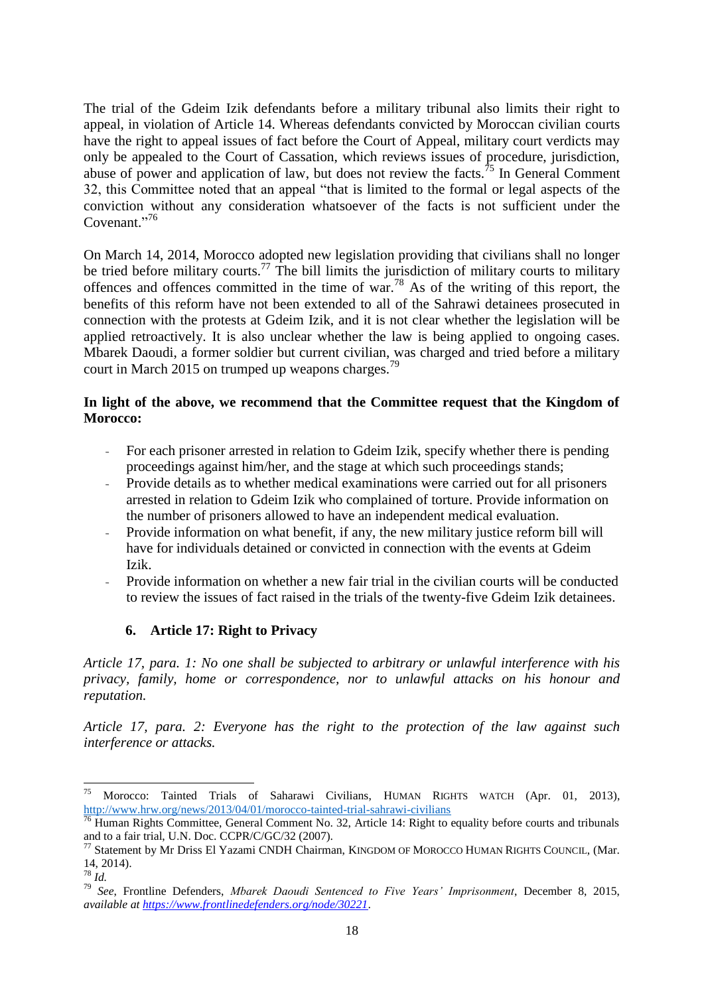The trial of the Gdeim Izik defendants before a military tribunal also limits their right to appeal, in violation of Article 14. Whereas defendants convicted by Moroccan civilian courts have the right to appeal issues of fact before the Court of Appeal, military court verdicts may only be appealed to the Court of Cassation, which reviews issues of procedure, jurisdiction, abuse of power and application of law, but does not review the facts.<sup> $75$ </sup> In General Comment 32, this Committee noted that an appeal "that is limited to the formal or legal aspects of the conviction without any consideration whatsoever of the facts is not sufficient under the Covenant."<sup>76</sup>

On March 14, 2014, Morocco adopted new legislation providing that civilians shall no longer be tried before military courts.<sup>77</sup> The bill limits the jurisdiction of military courts to military offences and offences committed in the time of war.<sup>78</sup> As of the writing of this report, the benefits of this reform have not been extended to all of the Sahrawi detainees prosecuted in connection with the protests at Gdeim Izik, and it is not clear whether the legislation will be applied retroactively. It is also unclear whether the law is being applied to ongoing cases. Mbarek Daoudi, a former soldier but current civilian, was charged and tried before a military court in March 2015 on trumped up weapons charges.<sup>79</sup>

#### **In light of the above, we recommend that the Committee request that the Kingdom of Morocco:**

- For each prisoner arrested in relation to Gdeim Izik, specify whether there is pending proceedings against him/her, and the stage at which such proceedings stands;
- Provide details as to whether medical examinations were carried out for all prisoners arrested in relation to Gdeim Izik who complained of torture. Provide information on the number of prisoners allowed to have an independent medical evaluation.
- Provide information on what benefit, if any, the new military justice reform bill will have for individuals detained or convicted in connection with the events at Gdeim Izik.
- Provide information on whether a new fair trial in the civilian courts will be conducted to review the issues of fact raised in the trials of the twenty-five Gdeim Izik detainees.

## **6. Article 17: Right to Privacy**

*Article 17, para. 1: No one shall be subjected to arbitrary or unlawful interference with his privacy, family, home or correspondence, nor to unlawful attacks on his honour and reputation.*

*Article 17, para. 2: Everyone has the right to the protection of the law against such interference or attacks.*

<sup>75</sup> Morocco: Tainted Trials of Saharawi Civilians, HUMAN RIGHTS WATCH (Apr. 01, 2013), <http://www.hrw.org/news/2013/04/01/morocco-tainted-trial-sahrawi-civilians>

<sup>&</sup>lt;sup>76</sup> Human Rights Committee, General Comment No. 32, Article 14: Right to equality before courts and tribunals and to a fair trial, U.N. Doc. CCPR/C/GC/32 (2007).

 $^{77}$  Statement by Mr Driss El Yazami CNDH Chairman, KINGDOM OF MOROCCO HUMAN RIGHTS COUNCIL, (Mar. 14, 2014).

<sup>78</sup> *Id.*

<sup>79</sup> *See*, Frontline Defenders, *Mbarek Daoudi Sentenced to Five Years' Imprisonment*, December 8, 2015, *available at<https://www.frontlinedefenders.org/node/30221>*.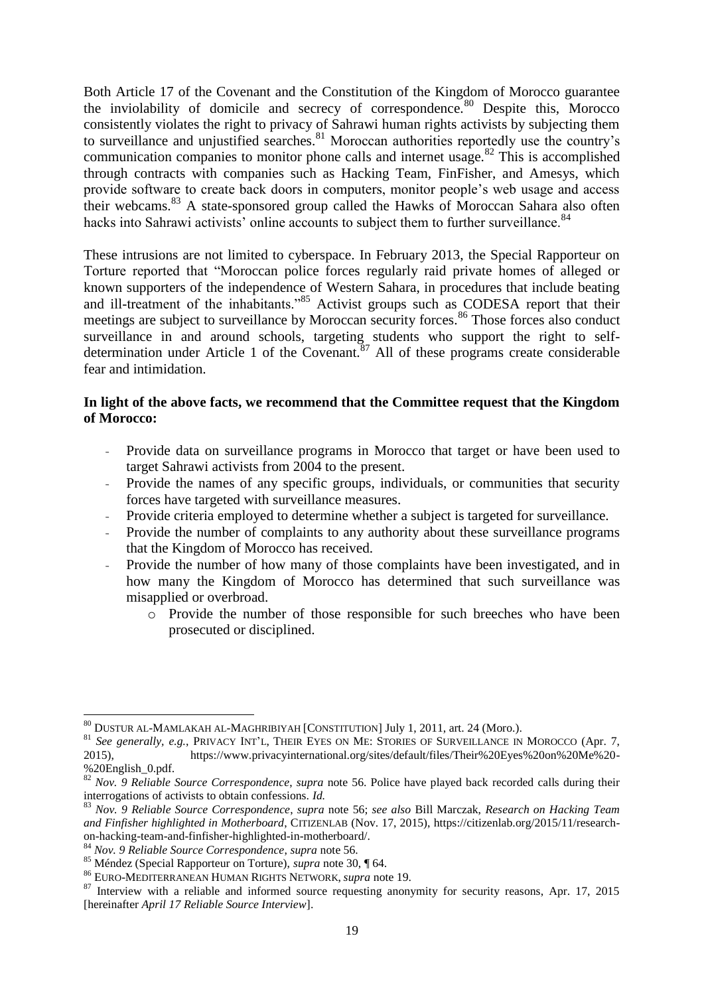Both Article 17 of the Covenant and the Constitution of the Kingdom of Morocco guarantee the inviolability of domicile and secrecy of correspondence.<sup>80</sup> Despite this, Morocco consistently violates the right to privacy of Sahrawi human rights activists by subjecting them to surveillance and unjustified searches.  $81$  Moroccan authorities reportedly use the country's communication companies to monitor phone calls and internet usage.<sup>82</sup> This is accomplished through contracts with companies such as Hacking Team, FinFisher, and Amesys, which provide software to create back doors in computers, monitor people's web usage and access their webcams.<sup>83</sup> A state-sponsored group called the Hawks of Moroccan Sahara also often hacks into Sahrawi activists' online accounts to subject them to further surveillance.<sup>84</sup>

These intrusions are not limited to cyberspace. In February 2013, the Special Rapporteur on Torture reported that "Moroccan police forces regularly raid private homes of alleged or known supporters of the independence of Western Sahara, in procedures that include beating and ill-treatment of the inhabitants.<sup>585</sup> Activist groups such as CODESA report that their meetings are subject to surveillance by Moroccan security forces.<sup>86</sup> Those forces also conduct surveillance in and around schools, targeting students who support the right to selfdetermination under Article 1 of the Covenant.<sup>87</sup> All of these programs create considerable fear and intimidation.

#### **In light of the above facts, we recommend that the Committee request that the Kingdom of Morocco:**

- Provide data on surveillance programs in Morocco that target or have been used to target Sahrawi activists from 2004 to the present.
- Provide the names of any specific groups, individuals, or communities that security forces have targeted with surveillance measures.
- Provide criteria employed to determine whether a subject is targeted for surveillance.
- Provide the number of complaints to any authority about these surveillance programs that the Kingdom of Morocco has received.
- Provide the number of how many of those complaints have been investigated, and in how many the Kingdom of Morocco has determined that such surveillance was misapplied or overbroad.
	- o Provide the number of those responsible for such breeches who have been prosecuted or disciplined.

<sup>80</sup> DUSTUR AL-MAMLAKAH AL-MAGHRIBIYAH [CONSTITUTION] July 1, 2011, art. 24 (Moro.).

<sup>81</sup> *See generally, e.g.*, PRIVACY INT'L, THEIR EYES ON ME: STORIES OF SURVEILLANCE IN MOROCCO (Apr. 7,

<sup>2015),</sup> https://www.privacyinternational.org/sites/default/files/Their%20Eyes%20on%20Me%20- %20English\_0.pdf.

<sup>82</sup> *Nov. 9 Reliable Source Correspondence*, *supra* note [56.](#page-14-0) Police have played back recorded calls during their interrogations of activists to obtain confessions. *Id.*

<sup>83</sup> *Nov. 9 Reliable Source Correspondence*, *supra* note [56;](#page-14-0) *see also* Bill Marczak, *Research on Hacking Team and Finfisher highlighted in Motherboard*, CITIZENLAB (Nov. 17, 2015), https://citizenlab.org/2015/11/researchon-hacking-team-and-finfisher-highlighted-in-motherboard/.

<sup>84</sup> *Nov. 9 Reliable Source Correspondence*, *supra* not[e 56.](#page-14-0)

<sup>85</sup> Méndez (Special Rapporteur on Torture), *supra* note 30, ¶ 64.

<sup>86</sup> EURO-MEDITERRANEAN HUMAN RIGHTS NETWORK, *supra* note 19.

<sup>&</sup>lt;sup>87</sup> Interview with a reliable and informed source requesting anonymity for security reasons, Apr. 17, 2015 [hereinafter *April 17 Reliable Source Interview*].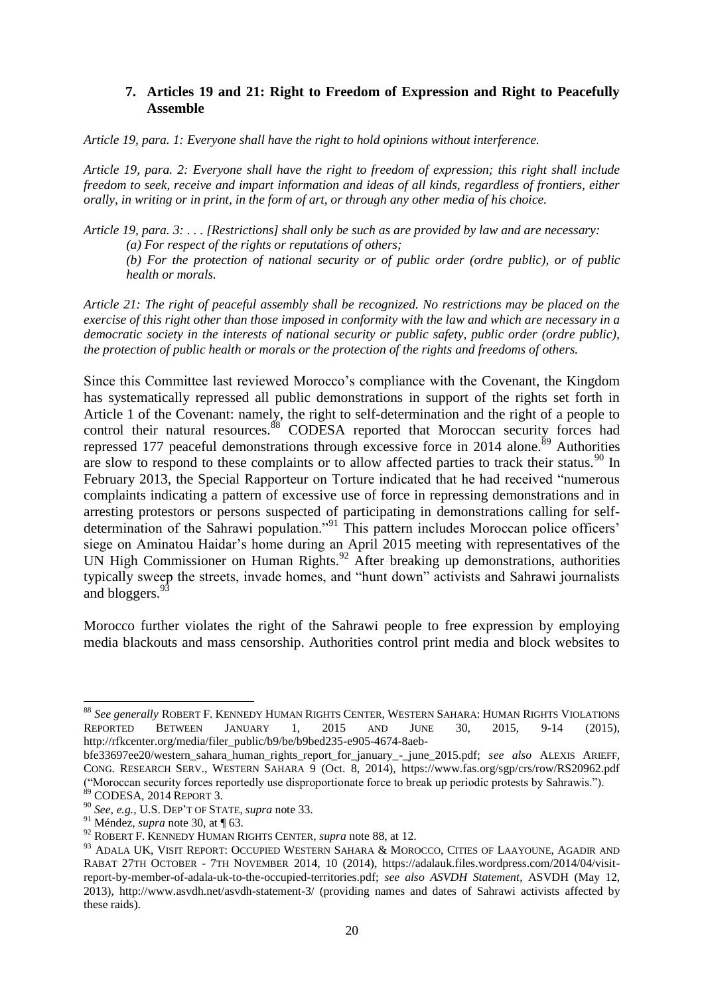#### **7. Articles 19 and 21: Right to Freedom of Expression and Right to Peacefully Assemble**

*Article 19, para. 1: Everyone shall have the right to hold opinions without interference.*

*Article 19, para. 2: Everyone shall have the right to freedom of expression; this right shall include freedom to seek, receive and impart information and ideas of all kinds, regardless of frontiers, either orally, in writing or in print, in the form of art, or through any other media of his choice.*

*Article 19, para. 3: . . . [Restrictions] shall only be such as are provided by law and are necessary: (a) For respect of the rights or reputations of others;*

*(b) For the protection of national security or of public order (ordre public), or of public health or morals.*

*Article 21: The right of peaceful assembly shall be recognized. No restrictions may be placed on the exercise of this right other than those imposed in conformity with the law and which are necessary in a democratic society in the interests of national security or public safety, public order (ordre public), the protection of public health or morals or the protection of the rights and freedoms of others.*

<span id="page-20-0"></span>Since this Committee last reviewed Morocco's compliance with the Covenant, the Kingdom has systematically repressed all public demonstrations in support of the rights set forth in Article 1 of the Covenant: namely, the right to self-determination and the right of a people to control their natural resources.<sup>88</sup> CODESA reported that Moroccan security forces had repressed 177 peaceful demonstrations through excessive force in 2014 alone.<sup>89</sup> Authorities are slow to respond to these complaints or to allow affected parties to track their status.<sup>90</sup> In February 2013, the Special Rapporteur on Torture indicated that he had received "numerous complaints indicating a pattern of excessive use of force in repressing demonstrations and in arresting protestors or persons suspected of participating in demonstrations calling for selfdetermination of the Sahrawi population."<sup>91</sup> This pattern includes Moroccan police officers' siege on Aminatou Haidar's home during an April 2015 meeting with representatives of the UN High Commissioner on Human Rights.<sup>92</sup> After breaking up demonstrations, authorities typically sweep the streets, invade homes, and "hunt down" activists and Sahrawi journalists and bloggers.<sup>93</sup>

Morocco further violates the right of the Sahrawi people to free expression by employing media blackouts and mass censorship. Authorities control print media and block websites to

1

<sup>88</sup> *See generally* ROBERT F. KENNEDY HUMAN RIGHTS CENTER, WESTERN SAHARA: HUMAN RIGHTS VIOLATIONS REPORTED BETWEEN JANUARY 1, 2015 AND JUNE 30, 2015, 9-14 (2015), http://rfkcenter.org/media/filer\_public/b9/be/b9bed235-e905-4674-8aeb-

bfe33697ee20/western\_sahara\_human\_rights\_report\_for\_january\_-\_june\_2015.pdf; *see also* ALEXIS ARIEFF, CONG. RESEARCH SERV., WESTERN SAHARA 9 (Oct. 8, 2014), https://www.fas.org/sgp/crs/row/RS20962.pdf ("Moroccan security forces reportedly use disproportionate force to break up periodic protests by Sahrawis.").

<sup>89</sup> CODESA, 2014 REPORT 3.

<sup>90</sup> *See, e.g.*, U.S. DEP'T OF STATE, *supra* note 33.

<sup>91</sup> Méndez, *supra* note 30, at ¶ 63.

<sup>92</sup> ROBERT F. KENNEDY HUMAN RIGHTS CENTER, *supra* note [88,](#page-20-0) at 12.

<sup>93</sup> ADALA UK, VISIT REPORT: OCCUPIED WESTERN SAHARA & MOROCCO, CITIES OF LAAYOUNE, AGADIR AND RABAT 27TH OCTOBER - 7TH NOVEMBER 2014, 10 (2014), https://adalauk.files.wordpress.com/2014/04/visitreport-by-member-of-adala-uk-to-the-occupied-territories.pdf; *see also ASVDH Statement*, ASVDH (May 12, 2013), http://www.asvdh.net/asvdh-statement-3/ (providing names and dates of Sahrawi activists affected by these raids).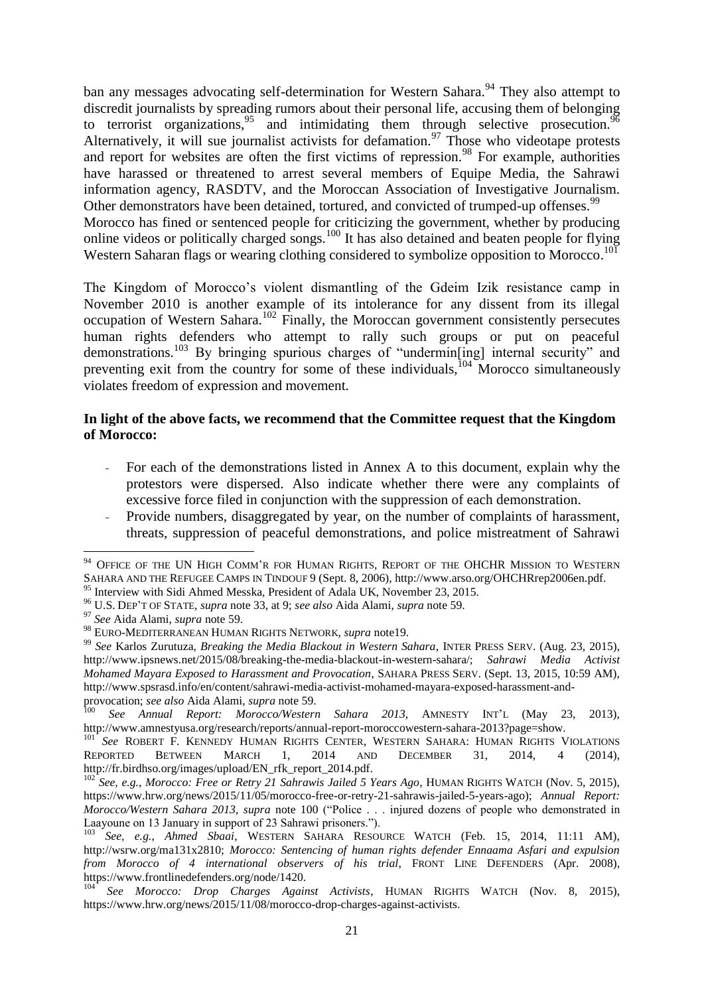<span id="page-21-1"></span>ban any messages advocating self-determination for Western Sahara.<sup>94</sup> They also attempt to discredit journalists by spreading rumors about their personal life, accusing them of belonging to terrorist organizations,  $95$  and intimidating them through selective prosecution.  $96$ Alternatively, it will sue journalist activists for defamation.<sup>97</sup> Those who videotape protests and report for websites are often the first victims of repression.<sup>98</sup> For example, authorities have harassed or threatened to arrest several members of Equipe Media, the Sahrawi information agency, RASDTV, and the Moroccan Association of Investigative Journalism. Other demonstrators have been detained, tortured, and convicted of trumped-up offenses.<sup>99</sup> Morocco has fined or sentenced people for criticizing the government, whether by producing online videos or politically charged songs.<sup>100</sup> It has also detained and beaten people for flying Western Saharan flags or wearing clothing considered to symbolize opposition to Morocco.<sup>101</sup>

<span id="page-21-0"></span>The Kingdom of Morocco's violent dismantling of the Gdeim Izik resistance camp in November 2010 is another example of its intolerance for any dissent from its illegal occupation of Western Sahara.<sup>102</sup> Finally, the Moroccan government consistently persecutes human rights defenders who attempt to rally such groups or put on peaceful demonstrations.<sup>103</sup> By bringing spurious charges of "undermin[ing] internal security" and preventing exit from the country for some of these individuals,  $104 \text{ Moreover}$  Morocco simultaneously violates freedom of expression and movement.

#### **In light of the above facts, we recommend that the Committee request that the Kingdom of Morocco:**

- For each of the demonstrations listed in Annex A to this document, explain why the protestors were dispersed. Also indicate whether there were any complaints of excessive force filed in conjunction with the suppression of each demonstration.
- Provide numbers, disaggregated by year, on the number of complaints of harassment, threats, suppression of peaceful demonstrations, and police mistreatment of Sahrawi

<sup>-</sup><sup>94</sup> OFFICE OF THE UN HIGH COMM'R FOR HUMAN RIGHTS, REPORT OF THE OHCHR MISSION TO WESTERN SAHARA AND THE REFUGEE CAMPS IN TINDOUF 9 (Sept. 8, 2006), http://www.arso.org/OHCHRrep2006en.pdf. <sup>95</sup> Interview with Sidi Ahmed Messka, President of Adala UK, November 23, 2015.

<sup>96</sup> U.S. DEP'T OF STATE, *supra* note 33, at 9; *see also* Aida Alami, *supra* note [59.](#page-15-0)

<sup>97</sup> *See* Aida Alami, *supra* note [59.](#page-15-0)

<sup>98</sup> EURO-MEDITERRANEAN HUMAN RIGHTS NETWORK, *supra* note19.

<sup>99</sup> *See* Karlos Zurutuza, *Breaking the Media Blackout in Western Sahara*, INTER PRESS SERV. (Aug. 23, 2015), http://www.ipsnews.net/2015/08/breaking-the-media-blackout-in-western-sahara/; *Sahrawi Media Activist Mohamed Mayara Exposed to Harassment and Provocation*, SAHARA PRESS SERV. (Sept. 13, 2015, 10:59 AM), http://www.spsrasd.info/en/content/sahrawi-media-activist-mohamed-mayara-exposed-harassment-andprovocation; *see also* Aida Alami, *supra* note [59.](#page-15-0)

<sup>100</sup> *See Annual Report: Morocco/Western Sahara 2013*, AMNESTY INT'<sup>L</sup> (May 23, 2013), http://www.amnestyusa.org/research/reports/annual-report-moroccowestern-sahara-2013?page=show.

<sup>101</sup> *See* ROBERT F. KENNEDY HUMAN RIGHTS CENTER, WESTERN SAHARA: HUMAN RIGHTS VIOLATIONS REPORTED BETWEEN MARCH 1, 2014 AND DECEMBER 31, 2014, 4 (2014), http://fr.birdhso.org/images/upload/EN\_rfk\_report\_2014.pdf.

<sup>102</sup> *See, e.g.*, *Morocco: Free or Retry 21 Sahrawis Jailed 5 Years Ago*, HUMAN RIGHTS WATCH (Nov. 5, 2015), https://www.hrw.org/news/2015/11/05/morocco-free-or-retry-21-sahrawis-jailed-5-years-ago); *Annual Report: Morocco/Western Sahara 2013*, *supra* note [100](#page-21-0) ("Police . . . injured dozens of people who demonstrated in Laayoune on 13 January in support of 23 Sahrawi prisoners.").

<sup>103</sup> *See, e.g.*, *Ahmed Sbaai*, WESTERN SAHARA RESOURCE WATCH (Feb. 15, 2014, 11:11 AM), http://wsrw.org/ma131x2810; *Morocco: Sentencing of human rights defender Ennaama Asfari and expulsion from Morocco of 4 international observers of his trial*, FRONT LINE DEFENDERS (Apr. 2008), https://www.frontlinedefenders.org/node/1420.

<sup>104</sup> *See Morocco: Drop Charges Against Activists*, HUMAN RIGHTS WATCH (Nov. 8, 2015), https://www.hrw.org/news/2015/11/08/morocco-drop-charges-against-activists.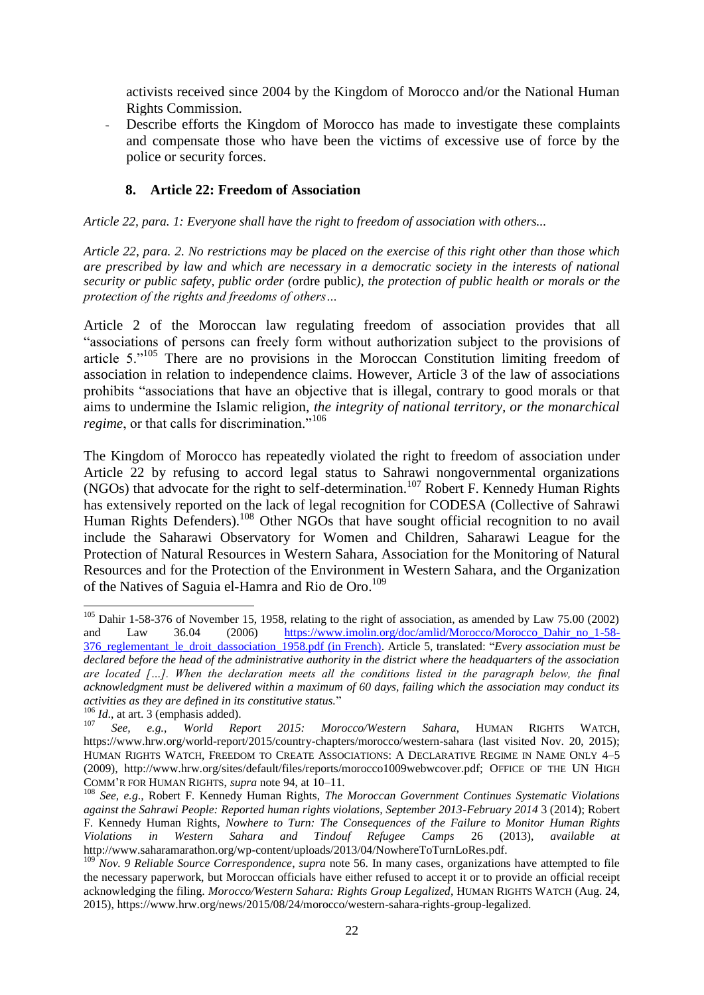activists received since 2004 by the Kingdom of Morocco and/or the National Human Rights Commission.

Describe efforts the Kingdom of Morocco has made to investigate these complaints and compensate those who have been the victims of excessive use of force by the police or security forces.

## **8. Article 22: Freedom of Association**

*Article 22, para. 1: Everyone shall have the right to freedom of association with others...*

*Article 22, para. 2. No restrictions may be placed on the exercise of this right other than those which are prescribed by law and which are necessary in a democratic society in the interests of national security or public safety, public order (*ordre public*), the protection of public health or morals or the protection of the rights and freedoms of others…*

Article 2 of the Moroccan law regulating freedom of association provides that all "associations of persons can freely form without authorization subject to the provisions of article  $5.^{105}$  There are no provisions in the Moroccan Constitution limiting freedom of association in relation to independence claims. However, Article 3 of the law of associations prohibits "associations that have an objective that is illegal, contrary to good morals or that aims to undermine the Islamic religion, *the integrity of national territory, or the monarchical regime*, or that calls for discrimination."<sup>106</sup>

The Kingdom of Morocco has repeatedly violated the right to freedom of association under Article 22 by refusing to accord legal status to Sahrawi nongovernmental organizations (NGOs) that advocate for the right to self-determination.<sup>107</sup> Robert F. Kennedy Human Rights has extensively reported on the lack of legal recognition for CODESA (Collective of Sahrawi Human Rights Defenders).<sup>108</sup> Other NGOs that have sought official recognition to no avail include the Saharawi Observatory for Women and Children, Saharawi League for the Protection of Natural Resources in Western Sahara, Association for the Monitoring of Natural Resources and for the Protection of the Environment in Western Sahara, and the Organization of the Natives of Saguia el-Hamra and Rio de Oro.<sup>109</sup>

<span id="page-22-0"></span>1

<sup>&</sup>lt;sup>105</sup> Dahir 1-58-376 of November 15, 1958, relating to the right of association, as amended by Law 75.00 (2002) and Law 36.04 (2006) https://www.imolin.org/doc/amlid/Morocco/Morocco Dahir no 1-58-[376\\_reglementant\\_le\\_droit\\_dassociation\\_1958.pdf](https://www.imolin.org/doc/amlid/Morocco/Morocco_Dahir_no_1-58-376_reglementant_le_droit_dassociation_1958.pdf) (in French). Article 5, translated: "*Every association must be declared before the head of the administrative authority in the district where the headquarters of the association are located […]. When the declaration meets all the conditions listed in the paragraph below, the final acknowledgment must be delivered within a maximum of 60 days, failing which the association may conduct its activities as they are defined in its constitutive status.*"

<sup>106</sup> *Id*., at art. 3 (emphasis added).

<sup>107</sup> *See, e.g.*, *World Report 2015: Morocco/Western Sahara*, HUMAN RIGHTS WATCH, https://www.hrw.org/world-report/2015/country-chapters/morocco/western-sahara (last visited Nov. 20, 2015); HUMAN RIGHTS WATCH, FREEDOM TO CREATE ASSOCIATIONS: A DECLARATIVE REGIME IN NAME ONLY 4–5 (2009), http://www.hrw.org/sites/default/files/reports/morocco1009webwcover.pdf; OFFICE OF THE UN HIGH COMM'R FOR HUMAN RIGHTS, *supra* not[e 94,](#page-21-1) at 10–11.

<sup>108</sup> *See, e.g*., Robert F. Kennedy Human Rights, *The Moroccan Government Continues Systematic Violations against the Sahrawi People: Reported human rights violations, September 2013-February 2014* 3 (2014); Robert F. Kennedy Human Rights, *Nowhere to Turn: The Consequences of the Failure to Monitor Human Rights Violations in Western Sahara and Tindouf Refugee Camps* 26 (2013), *available* http://www.saharamarathon.org/wp-content/uploads/2013/04/NowhereToTurnLoRes.pdf.

<sup>&</sup>lt;sup>109</sup> *Nov. 9 Reliable Source Correspondence*, *supra* note [56.](#page-14-0) In many cases, organizations have attempted to file the necessary paperwork, but Moroccan officials have either refused to accept it or to provide an official receipt acknowledging the filing. *Morocco/Western Sahara: Rights Group Legalized*, HUMAN RIGHTS WATCH (Aug. 24, 2015), https://www.hrw.org/news/2015/08/24/morocco/western-sahara-rights-group-legalized.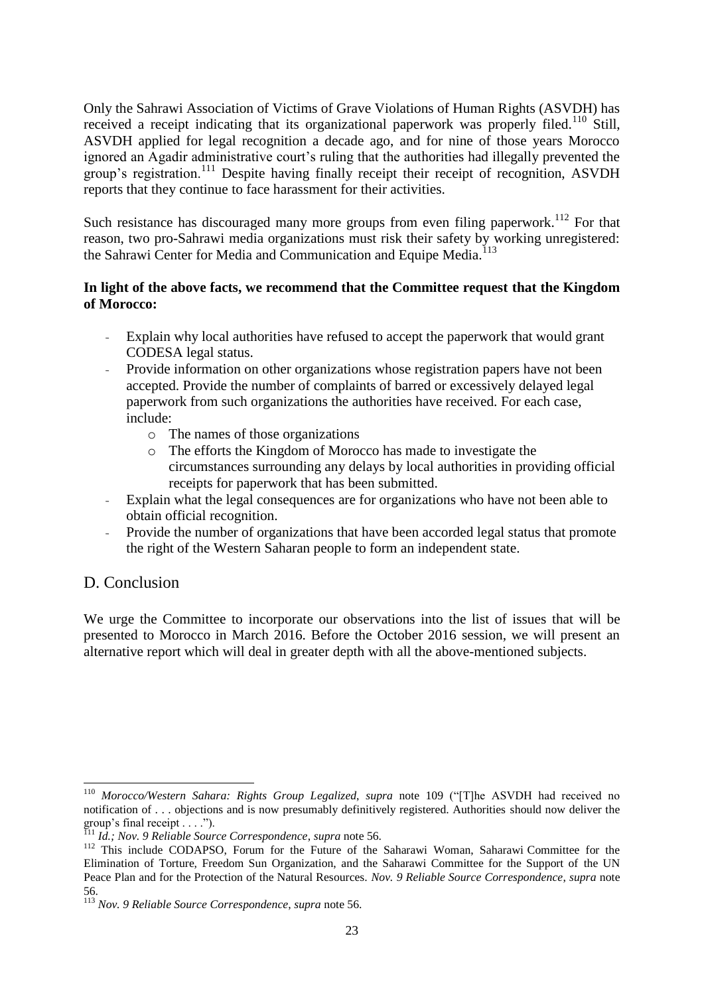Only the Sahrawi Association of Victims of Grave Violations of Human Rights (ASVDH) has received a receipt indicating that its organizational paperwork was properly filed.<sup>110</sup> Still, ASVDH applied for legal recognition a decade ago, and for nine of those years Morocco ignored an Agadir administrative court's ruling that the authorities had illegally prevented the group's registration.<sup>111</sup> Despite having finally receipt their receipt of recognition, ASVDH reports that they continue to face harassment for their activities.

Such resistance has discouraged many more groups from even filing paperwork.<sup>112</sup> For that reason, two pro-Sahrawi media organizations must risk their safety by working unregistered: the Sahrawi Center for Media and Communication and Equipe Media.<sup>113</sup>

## **In light of the above facts, we recommend that the Committee request that the Kingdom of Morocco:**

- Explain why local authorities have refused to accept the paperwork that would grant CODESA legal status.
- Provide information on other organizations whose registration papers have not been accepted. Provide the number of complaints of barred or excessively delayed legal paperwork from such organizations the authorities have received. For each case, include:
	- o The names of those organizations
	- o The efforts the Kingdom of Morocco has made to investigate the circumstances surrounding any delays by local authorities in providing official receipts for paperwork that has been submitted.
- Explain what the legal consequences are for organizations who have not been able to obtain official recognition.
- Provide the number of organizations that have been accorded legal status that promote the right of the Western Saharan people to form an independent state.

# D. Conclusion

1

We urge the Committee to incorporate our observations into the list of issues that will be presented to Morocco in March 2016. Before the October 2016 session, we will present an alternative report which will deal in greater depth with all the above-mentioned subjects.

<sup>110</sup> *Morocco/Western Sahara: Rights Group Legalized*, *supra* note [109](#page-22-0) ("[T]he ASVDH had received no notification of . . . objections and is now presumably definitively registered. Authorities should now deliver the group's final receipt . . . .").

<sup>111</sup> *Id.; Nov. 9 Reliable Source Correspondence*, *supra* note [56.](#page-14-0)

<sup>&</sup>lt;sup>112</sup> This include CODAPSO, Forum for the Future of the Saharawi Woman, Saharawi Committee for the Elimination of Torture, Freedom Sun Organization, and the Saharawi Committee for the Support of the UN Peace Plan and for the Protection of the Natural Resources. *Nov. 9 Reliable Source Correspondence*, *supra* note [56.](#page-14-0)

<sup>113</sup> *Nov. 9 Reliable Source Correspondence*, *supra* note [56.](#page-14-0)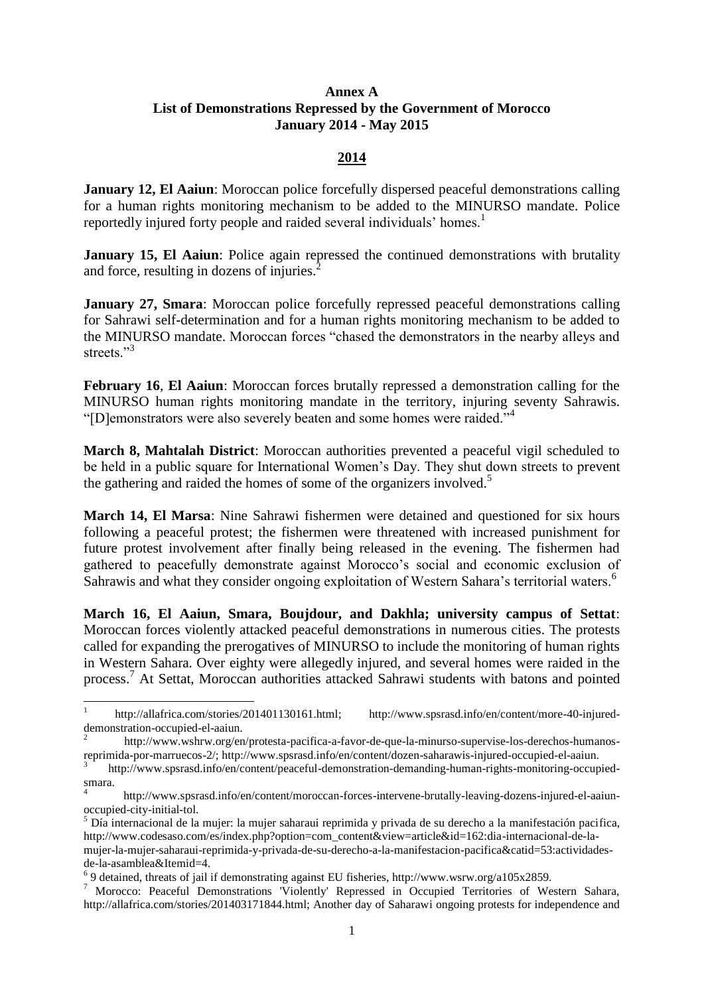#### **Annex A List of Demonstrations Repressed by the Government of Morocco January 2014 - May 2015**

#### **2014**

**January 12, El Aaiun**: Moroccan police forcefully dispersed peaceful demonstrations calling for a human rights monitoring mechanism to be added to the MINURSO mandate. Police reportedly injured forty people and raided several individuals' homes.<sup>1</sup>

**January 15, El Aaiun**: Police again repressed the continued demonstrations with brutality and force, resulting in dozens of injuries.<sup>2</sup>

**January 27, Smara**: Moroccan police forcefully repressed peaceful demonstrations calling for Sahrawi self-determination and for a human rights monitoring mechanism to be added to the MINURSO mandate. Moroccan forces "chased the demonstrators in the nearby alleys and streets<sup>"3</sup>

**February 16**, **El Aaiun**: Moroccan forces brutally repressed a demonstration calling for the MINURSO human rights monitoring mandate in the territory, injuring seventy Sahrawis. "[D]emonstrators were also severely beaten and some homes were raided."

**March 8, Mahtalah District**: Moroccan authorities prevented a peaceful vigil scheduled to be held in a public square for International Women's Day. They shut down streets to prevent the gathering and raided the homes of some of the organizers involved.<sup>5</sup>

**March 14, El Marsa**: Nine Sahrawi fishermen were detained and questioned for six hours following a peaceful protest; the fishermen were threatened with increased punishment for future protest involvement after finally being released in the evening. The fishermen had gathered to peacefully demonstrate against Morocco's social and economic exclusion of Sahrawis and what they consider ongoing exploitation of Western Sahara's territorial waters.<sup>6</sup>

**March 16, El Aaiun, Smara, Boujdour, and Dakhla; university campus of Settat**: Moroccan forces violently attacked peaceful demonstrations in numerous cities. The protests called for expanding the prerogatives of MINURSO to include the monitoring of human rights in Western Sahara. Over eighty were allegedly injured, and several homes were raided in the process. <sup>7</sup> At Settat, Moroccan authorities attacked Sahrawi students with batons and pointed

1

<sup>1</sup> http://allafrica.com/stories/201401130161.html; http://www.spsrasd.info/en/content/more-40-injureddemonstration-occupied-el-aaiun.

<sup>2</sup> http://www.wshrw.org/en/protesta-pacifica-a-favor-de-que-la-minurso-supervise-los-derechos-humanosreprimida-por-marruecos-2/; http://www.spsrasd.info/en/content/dozen-saharawis-injured-occupied-el-aaiun.

<sup>3</sup> http://www.spsrasd.info/en/content/peaceful-demonstration-demanding-human-rights-monitoring-occupiedsmara.

<sup>4</sup> http://www.spsrasd.info/en/content/moroccan-forces-intervene-brutally-leaving-dozens-injured-el-aaiunoccupied-city-initial-tol.

 $<sup>5</sup>$  Día internacional de la mujer: la mujer saharaui reprimida y privada de su derecho a la manifestación pacifica,</sup> http://www.codesaso.com/es/index.php?option=com\_content&view=article&id=162:dia-internacional-de-lamujer-la-mujer-saharaui-reprimida-y-privada-de-su-derecho-a-la-manifestacion-pacifica&catid=53:actividadesde-la-asamblea&Itemid=4.

 $69$  detained, threats of jail if demonstrating against EU fisheries, http://www.wsrw.org/a105x2859.

<sup>7</sup> Morocco: Peaceful Demonstrations 'Violently' Repressed in Occupied Territories of Western Sahara, http://allafrica.com/stories/201403171844.html; Another day of Saharawi ongoing protests for independence and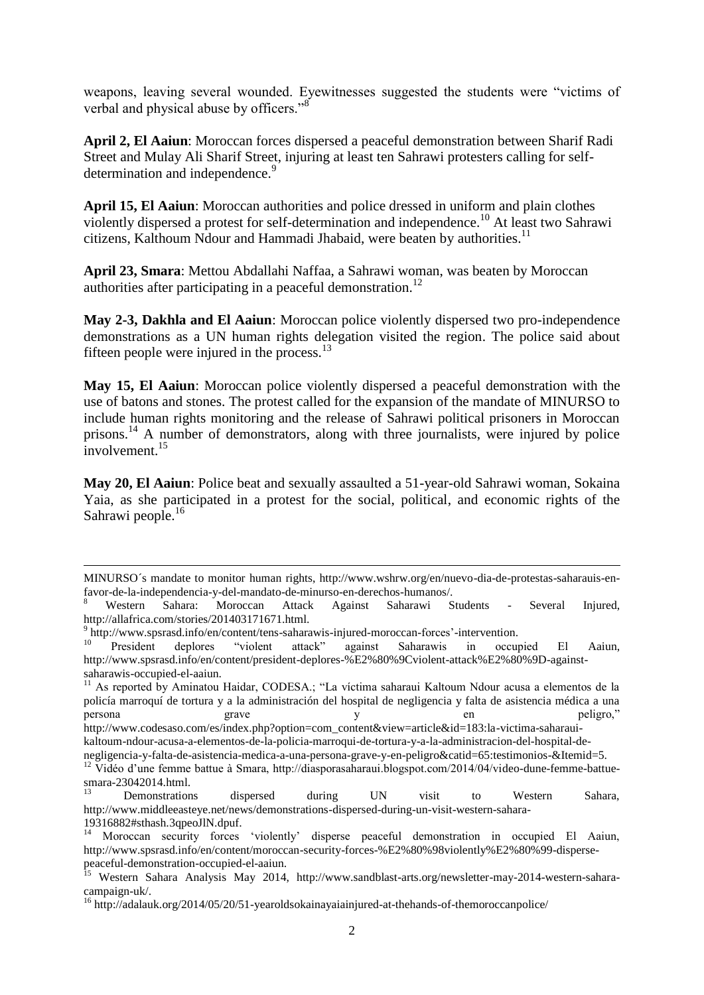weapons, leaving several wounded. Eyewitnesses suggested the students were "victims of verbal and physical abuse by officers."<sup>8</sup>

**April 2, El Aaiun**: Moroccan forces dispersed a peaceful demonstration between Sharif Radi Street and Mulay Ali Sharif Street, injuring at least ten Sahrawi protesters calling for selfdetermination and independence.<sup>9</sup>

**April 15, El Aaiun**: Moroccan authorities and police dressed in uniform and plain clothes violently dispersed a protest for self-determination and independence.<sup>10</sup> At least two Sahrawi citizens, Kalthoum Ndour and Hammadi Jhabaid, were beaten by authorities.<sup>11</sup>

**April 23, Smara**: Mettou Abdallahi Naffaa, a Sahrawi woman, was beaten by Moroccan authorities after participating in a peaceful demonstration.<sup>12</sup>

**May 2-3, Dakhla and El Aaiun**: Moroccan police violently dispersed two pro-independence demonstrations as a UN human rights delegation visited the region. The police said about fifteen people were injured in the process. $13$ 

**May 15, El Aaiun**: Moroccan police violently dispersed a peaceful demonstration with the use of batons and stones. The protest called for the expansion of the mandate of MINURSO to include human rights monitoring and the release of Sahrawi political prisoners in Moroccan prisons.<sup>14</sup> A number of demonstrators, along with three journalists, were injured by police involvement.<sup>15</sup>

**May 20, El Aaiun**: Police beat and sexually assaulted a 51-year-old Sahrawi woman, Sokaina Yaia, as she participated in a protest for the social, political, and economic rights of the Sahrawi people.<sup>16</sup>

1

MINURSO´s mandate to monitor human rights, http://www.wshrw.org/en/nuevo-dia-de-protestas-saharauis-enfavor-de-la-independencia-y-del-mandato-de-minurso-en-derechos-humanos/.

<sup>8</sup> Western Sahara: Moroccan Attack Against Saharawi Students - Several Injured, http://allafrica.com/stories/201403171671.html.

<sup>&</sup>lt;sup>9</sup> http://www.spsrasd.info/en/content/tens-saharawis-injured-moroccan-forces'-intervention.

<sup>&</sup>lt;sup>10</sup> President deplores "violent attack" against Saharawis in occupied El Aaiun, http://www.spsrasd.info/en/content/president-deplores-%E2%80%9Cviolent-attack%E2%80%9D-againstsaharawis-occupied-el-aaiun.

<sup>11</sup> As reported by Aminatou Haidar, CODESA.; "La víctima saharaui Kaltoum Ndour acusa a elementos de la policía marroquí de tortura y a la administración del hospital de negligencia y falta de asistencia médica a una persona grave y y en peligro," http://www.codesaso.com/es/index.php?option=com\_content&view=article&id=183:la-victima-saharaui-

kaltoum-ndour-acusa-a-elementos-de-la-policia-marroqui-de-tortura-y-a-la-administracion-del-hospital-de-

negligencia-y-falta-de-asistencia-medica-a-una-persona-grave-y-en-peligro&catid=65:testimonios-&Itemid=5.

<sup>&</sup>lt;sup>12</sup> Vidéo d'une femme battue à Smara, http://diasporasaharaui.blogspot.com/2014/04/video-dune-femme-battuesmara-23042014.html.

<sup>13</sup> Demonstrations dispersed during UN visit to Western Sahara, http://www.middleeasteye.net/news/demonstrations-dispersed-during-un-visit-western-sahara-19316882#sthash.3qpeoJlN.dpuf.

<sup>&</sup>lt;sup>14</sup> Moroccan security forces 'violently' disperse peaceful demonstration in occupied El Aaiun, http://www.spsrasd.info/en/content/moroccan-security-forces-%E2%80%98violently%E2%80%99-dispersepeaceful-demonstration-occupied-el-aaiun.

<sup>&</sup>lt;sup>15</sup> Western Sahara Analysis May 2014, http://www.sandblast-arts.org/newsletter-may-2014-western-saharacampaign-uk/.

<sup>16</sup> http://adalauk.org/2014/05/20/51-yearoldsokainayaiainjured-at-thehands-of-themoroccanpolice/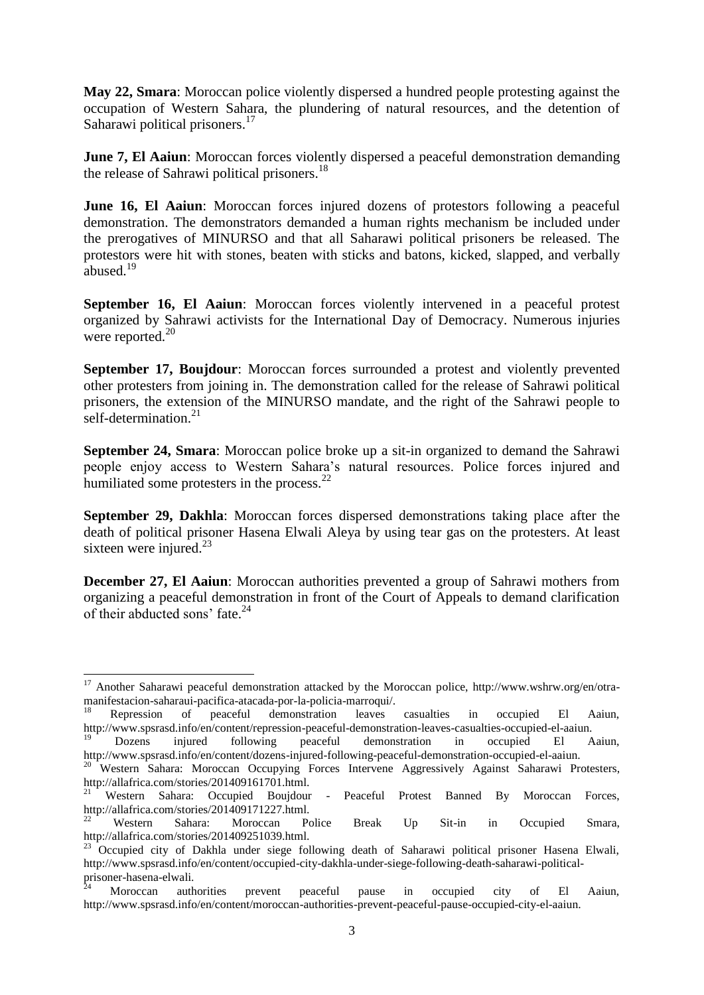**May 22, Smara**: Moroccan police violently dispersed a hundred people protesting against the occupation of Western Sahara, the plundering of natural resources, and the detention of Saharawi political prisoners.<sup>17</sup>

**June 7, El Aaiun**: Moroccan forces violently dispersed a peaceful demonstration demanding the release of Sahrawi political prisoners.<sup>18</sup>

**June 16, El Aaiun**: Moroccan forces injured dozens of protestors following a peaceful demonstration. The demonstrators demanded a human rights mechanism be included under the prerogatives of MINURSO and that all Saharawi political prisoners be released. The protestors were hit with stones, beaten with sticks and batons, kicked, slapped, and verbally abused.<sup>19</sup>

**September 16, El Aaiun**: Moroccan forces violently intervened in a peaceful protest organized by Sahrawi activists for the International Day of Democracy. Numerous injuries were reported. $20$ 

**September 17, Boujdour:** Moroccan forces surrounded a protest and violently prevented other protesters from joining in. The demonstration called for the release of Sahrawi political prisoners, the extension of the MINURSO mandate, and the right of the Sahrawi people to self-determination.<sup>21</sup>

**September 24, Smara**: Moroccan police broke up a sit-in organized to demand the Sahrawi people enjoy access to Western Sahara's natural resources. Police forces injured and humiliated some protesters in the process.<sup>22</sup>

**September 29, Dakhla**: Moroccan forces dispersed demonstrations taking place after the death of political prisoner Hasena Elwali Aleya by using tear gas on the protesters. At least sixteen were injured. $^{23}$ 

**December 27, El Aaiun**: Moroccan authorities prevented a group of Sahrawi mothers from organizing a peaceful demonstration in front of the Court of Appeals to demand clarification of their abducted sons' fate. $^{24}$ 

<sup>&</sup>lt;sup>17</sup> Another Saharawi peaceful demonstration attacked by the Moroccan police, http://www.wshrw.org/en/otramanifestacion-saharaui-pacifica-atacada-por-la-policia-marroqui/.

<sup>&</sup>lt;sup>18</sup> Repression of peaceful demonstration leaves casualties in occupied El Aaiun, http://www.spsrasd.info/en/content/repression-peaceful-demonstration-leaves-casualties-occupied-el-aaiun.

<sup>19</sup> Dozens injured following peaceful demonstration in occupied El Aaiun, http://www.spsrasd.info/en/content/dozens-injured-following-peaceful-demonstration-occupied-el-aaiun.

<sup>&</sup>lt;sup>20</sup> Western Sahara: Moroccan Occupying Forces Intervene Aggressively Against Saharawi Protesters, http://allafrica.com/stories/201409161701.html.

<sup>21</sup> Western Sahara: Occupied Boujdour - Peaceful Protest Banned By Moroccan Forces, http://allafrica.com/stories/201409171227.html.

<sup>&</sup>lt;sup>22</sup> Western Sahara: Moroccan Police Break Up Sit-in in Occupied Smara, http://allafrica.com/stories/201409251039.html.

<sup>&</sup>lt;sup>23</sup> Occupied city of Dakhla under siege following death of Saharawi political prisoner Hasena Elwali, http://www.spsrasd.info/en/content/occupied-city-dakhla-under-siege-following-death-saharawi-politicalprisoner-hasena-elwali.

 $24$  Moroccan authorities prevent peaceful pause in occupied city of El Aaiun, http://www.spsrasd.info/en/content/moroccan-authorities-prevent-peaceful-pause-occupied-city-el-aaiun.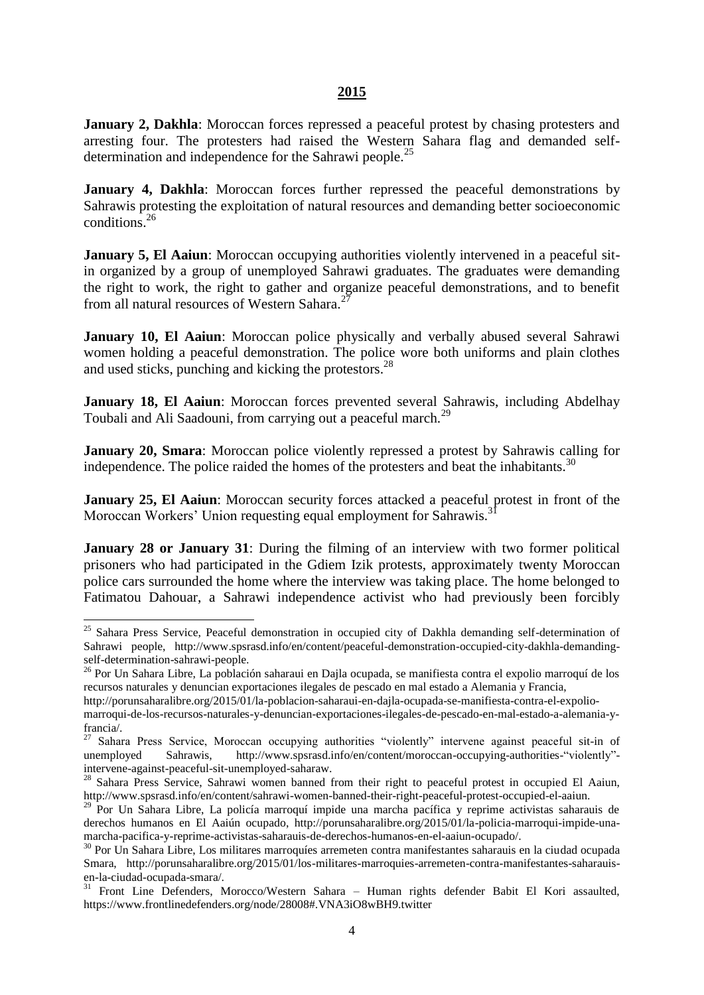#### **2015**

**January 2, Dakhla**: Moroccan forces repressed a peaceful protest by chasing protesters and arresting four. The protesters had raised the Western Sahara flag and demanded selfdetermination and independence for the Sahrawi people.<sup>25</sup>

**January 4, Dakhla**: Moroccan forces further repressed the peaceful demonstrations by Sahrawis protesting the exploitation of natural resources and demanding better socioeconomic conditions. 26

**January 5, El Aaiun**: Moroccan occupying authorities violently intervened in a peaceful sitin organized by a group of unemployed Sahrawi graduates. The graduates were demanding the right to work, the right to gather and organize peaceful demonstrations, and to benefit from all natural resources of Western Sahara.<sup>27</sup>

**January 10, El Aaiun**: Moroccan police physically and verbally abused several Sahrawi women holding a peaceful demonstration. The police wore both uniforms and plain clothes and used sticks, punching and kicking the protestors.<sup>28</sup>

**January 18, El Aaiun**: Moroccan forces prevented several Sahrawis, including Abdelhay Toubali and Ali Saadouni, from carrying out a peaceful march.<sup>29</sup>

**January 20, Smara**: Moroccan police violently repressed a protest by Sahrawis calling for independence. The police raided the homes of the protesters and beat the inhabitants.<sup>30</sup>

**January 25, El Aaiun**: Moroccan security forces attacked a peaceful protest in front of the Moroccan Workers' Union requesting equal employment for Sahrawis.<sup>3</sup>

**January 28 or January 31**: During the filming of an interview with two former political prisoners who had participated in the Gdiem Izik protests, approximately twenty Moroccan police cars surrounded the home where the interview was taking place. The home belonged to Fatimatou Dahouar, a Sahrawi independence activist who had previously been forcibly

1

<sup>&</sup>lt;sup>25</sup> Sahara Press Service, Peaceful demonstration in occupied city of Dakhla demanding self-determination of Sahrawi people, http://www.spsrasd.info/en/content/peaceful-demonstration-occupied-city-dakhla-demandingself-determination-sahrawi-people.

<sup>26</sup> Por Un Sahara Libre, La población saharaui en Dajla ocupada, se manifiesta contra el expolio marroquí de los recursos naturales y denuncian exportaciones ilegales de pescado en mal estado a Alemania y Francia,

http://porunsaharalibre.org/2015/01/la-poblacion-saharaui-en-dajla-ocupada-se-manifiesta-contra-el-expoliomarroqui-de-los-recursos-naturales-y-denuncian-exportaciones-ilegales-de-pescado-en-mal-estado-a-alemania-yfrancia/.

<sup>&</sup>lt;sup>27</sup> Sahara Press Service, Moroccan occupying authorities "violently" intervene against peaceful sit-in of unemployed Sahrawis, http://www.spsrasd.info/en/content/moroccan-occupying-authorities-"violently" intervene-against-peaceful-sit-unemployed-saharaw.

<sup>&</sup>lt;sup>28</sup> Sahara Press Service, Sahrawi women banned from their right to peaceful protest in occupied El Aaiun, http://www.spsrasd.info/en/content/sahrawi-women-banned-their-right-peaceful-protest-occupied-el-aaiun.

<sup>&</sup>lt;sup>29</sup> Por Un Sahara Libre, La policía marroquí impide una marcha pacífica y reprime activistas saharauis de derechos humanos en El Aaiún ocupado, http://porunsaharalibre.org/2015/01/la-policia-marroqui-impide-unamarcha-pacifica-y-reprime-activistas-saharauis-de-derechos-humanos-en-el-aaiun-ocupado/.

<sup>&</sup>lt;sup>30</sup> Por Un Sahara Libre, Los militares marroquíes arremeten contra manifestantes saharauis en la ciudad ocupada Smara, http://porunsaharalibre.org/2015/01/los-militares-marroquies-arremeten-contra-manifestantes-saharauisen-la-ciudad-ocupada-smara/.

<sup>&</sup>lt;sup>31</sup> Front Line Defenders, Morocco/Western Sahara – Human rights defender Babit El Kori assaulted, https://www.frontlinedefenders.org/node/28008#.VNA3iO8wBH9.twitter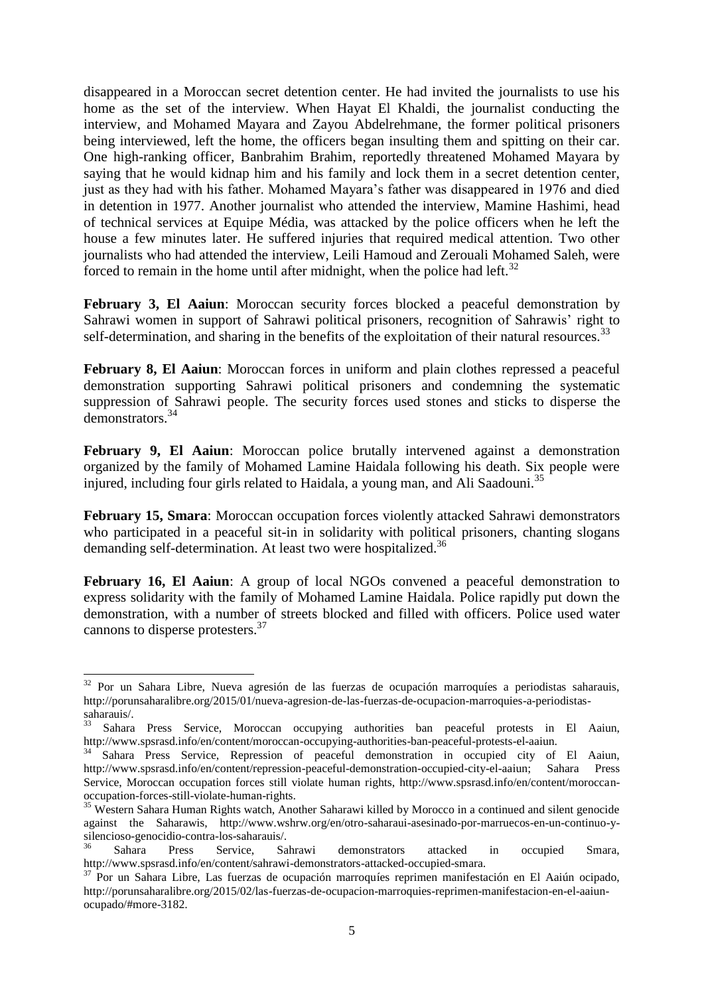disappeared in a Moroccan secret detention center. He had invited the journalists to use his home as the set of the interview. When Hayat El Khaldi, the journalist conducting the interview, and Mohamed Mayara and Zayou Abdelrehmane, the former political prisoners being interviewed, left the home, the officers began insulting them and spitting on their car. One high-ranking officer, Banbrahim Brahim, reportedly threatened Mohamed Mayara by saying that he would kidnap him and his family and lock them in a secret detention center, just as they had with his father. Mohamed Mayara's father was disappeared in 1976 and died in detention in 1977. Another journalist who attended the interview, Mamine Hashimi, head of technical services at Equipe Média, was attacked by the police officers when he left the house a few minutes later. He suffered injuries that required medical attention. Two other journalists who had attended the interview, Leili Hamoud and Zerouali Mohamed Saleh, were forced to remain in the home until after midnight, when the police had left.<sup>32</sup>

**February 3, El Aaiun**: Moroccan security forces blocked a peaceful demonstration by Sahrawi women in support of Sahrawi political prisoners, recognition of Sahrawis' right to self-determination, and sharing in the benefits of the exploitation of their natural resources.<sup>33</sup>

**February 8, El Aaiun**: Moroccan forces in uniform and plain clothes repressed a peaceful demonstration supporting Sahrawi political prisoners and condemning the systematic suppression of Sahrawi people. The security forces used stones and sticks to disperse the demonstrators.<sup>34</sup>

**February 9, El Aaiun**: Moroccan police brutally intervened against a demonstration organized by the family of Mohamed Lamine Haidala following his death. Six people were injured, including four girls related to Haidala, a young man, and Ali Saadouni.<sup>35</sup>

**February 15, Smara**: Moroccan occupation forces violently attacked Sahrawi demonstrators who participated in a peaceful sit-in in solidarity with political prisoners, chanting slogans demanding self-determination. At least two were hospitalized.<sup>36</sup>

**February 16, El Aaiun**: A group of local NGOs convened a peaceful demonstration to express solidarity with the family of Mohamed Lamine Haidala. Police rapidly put down the demonstration, with a number of streets blocked and filled with officers. Police used water cannons to disperse protesters.<sup>37</sup>

<sup>32</sup> Por un Sahara Libre, Nueva agresión de las fuerzas de ocupación marroquíes a periodistas saharauis, http://porunsaharalibre.org/2015/01/nueva-agresion-de-las-fuerzas-de-ocupacion-marroquies-a-periodistassaharauis/.

<sup>&</sup>lt;sup>33</sup> Sahara Press Service, Moroccan occupying authorities ban peaceful protests in El Aaiun, http://www.spsrasd.info/en/content/moroccan-occupying-authorities-ban-peaceful-protests-el-aaiun.

<sup>&</sup>lt;sup>34</sup> Sahara Press Service, Repression of peaceful demonstration in occupied city of El Aaiun, http://www.spsrasd.info/en/content/repression-peaceful-demonstration-occupied-city-el-aaiun; Sahara Press Service, Moroccan occupation forces still violate human rights, http://www.spsrasd.info/en/content/moroccanoccupation-forces-still-violate-human-rights.

<sup>&</sup>lt;sup>35</sup> Western Sahara Human Rights watch, Another Saharawi killed by Morocco in a continued and silent genocide against the Saharawis, http://www.wshrw.org/en/otro-saharaui-asesinado-por-marruecos-en-un-continuo-ysilencioso-genocidio-contra-los-saharauis/.

<sup>&</sup>lt;sup>36</sup> Sahara Press Service, Sahrawi demonstrators attacked in occupied Smara, http://www.spsrasd.info/en/content/sahrawi-demonstrators-attacked-occupied-smara.

<sup>37</sup> Por un Sahara Libre, Las fuerzas de ocupación marroquíes reprimen manifestación en El Aaiún ocipado, http://porunsaharalibre.org/2015/02/las-fuerzas-de-ocupacion-marroquies-reprimen-manifestacion-en-el-aaiunocupado/#more-3182.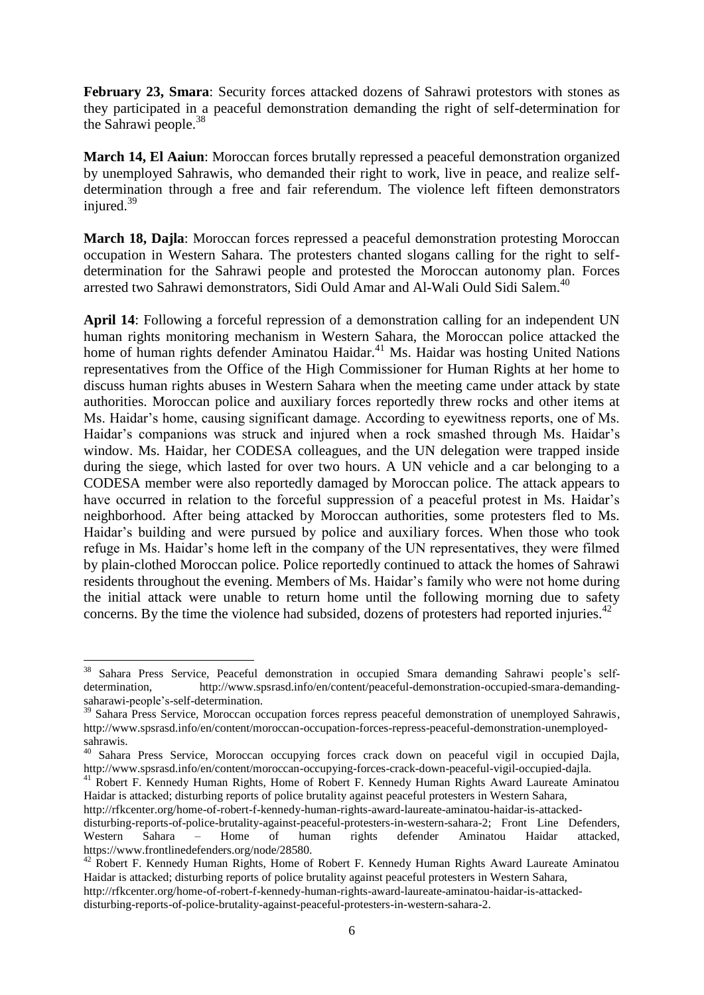**February 23, Smara**: Security forces attacked dozens of Sahrawi protestors with stones as they participated in a peaceful demonstration demanding the right of self-determination for the Sahrawi people.<sup>38</sup>

**March 14, El Aaiun**: Moroccan forces brutally repressed a peaceful demonstration organized by unemployed Sahrawis, who demanded their right to work, live in peace, and realize selfdetermination through a free and fair referendum. The violence left fifteen demonstrators injured. $39$ 

**March 18, Dajla**: Moroccan forces repressed a peaceful demonstration protesting Moroccan occupation in Western Sahara. The protesters chanted slogans calling for the right to selfdetermination for the Sahrawi people and protested the Moroccan autonomy plan. Forces arrested two Sahrawi demonstrators, Sidi Ould Amar and Al-Wali Ould Sidi Salem.<sup>40</sup>

**April 14**: Following a forceful repression of a demonstration calling for an independent UN human rights monitoring mechanism in Western Sahara, the Moroccan police attacked the home of human rights defender Aminatou Haidar.<sup>41</sup> Ms. Haidar was hosting United Nations representatives from the Office of the High Commissioner for Human Rights at her home to discuss human rights abuses in Western Sahara when the meeting came under attack by state authorities. Moroccan police and auxiliary forces reportedly threw rocks and other items at Ms. Haidar's home, causing significant damage. According to eyewitness reports, one of Ms. Haidar's companions was struck and injured when a rock smashed through Ms. Haidar's window. Ms. Haidar, her CODESA colleagues, and the UN delegation were trapped inside during the siege, which lasted for over two hours. A UN vehicle and a car belonging to a CODESA member were also reportedly damaged by Moroccan police. The attack appears to have occurred in relation to the forceful suppression of a peaceful protest in Ms. Haidar's neighborhood. After being attacked by Moroccan authorities, some protesters fled to Ms. Haidar's building and were pursued by police and auxiliary forces. When those who took refuge in Ms. Haidar's home left in the company of the UN representatives, they were filmed by plain-clothed Moroccan police. Police reportedly continued to attack the homes of Sahrawi residents throughout the evening. Members of Ms. Haidar's family who were not home during the initial attack were unable to return home until the following morning due to safety concerns. By the time the violence had subsided, dozens of protesters had reported injuries.<sup>42</sup>

<sup>41</sup> Robert F. Kennedy Human Rights, Home of Robert F. Kennedy Human Rights Award Laureate Aminatou Haidar is attacked; disturbing reports of police brutality against peaceful protesters in Western Sahara,

http://rfkcenter.org/home-of-robert-f-kennedy-human-rights-award-laureate-aminatou-haidar-is-attacked-

disturbing-reports-of-police-brutality-against-peaceful-protesters-in-western-sahara-2.

<sup>38</sup> Sahara Press Service, Peaceful demonstration in occupied Smara demanding Sahrawi people's selfdetermination, http://www.spsrasd.info/en/content/peaceful-demonstration-occupied-smara-demandingsaharawi-people's-self-determination.

<sup>&</sup>lt;sup>39</sup> Sahara Press Service, Moroccan occupation forces repress peaceful demonstration of unemployed Sahrawis, http://www.spsrasd.info/en/content/moroccan-occupation-forces-repress-peaceful-demonstration-unemployedsahrawis.

<sup>&</sup>lt;sup>40</sup> Sahara Press Service, Moroccan occupying forces crack down on peaceful vigil in occupied Dajla, http://www.spsrasd.info/en/content/moroccan-occupying-forces-crack-down-peaceful-vigil-occupied-dajla.

disturbing-reports-of-police-brutality-against-peaceful-protesters-in-western-sahara-2; Front Line Defenders, Western Sahara – Home of human rights defender Aminatou Haidar attacked, https://www.frontlinedefenders.org/node/28580.

<sup>&</sup>lt;sup>42</sup> Robert F. Kennedy Human Rights, Home of Robert F. Kennedy Human Rights Award Laureate Aminatou Haidar is attacked; disturbing reports of police brutality against peaceful protesters in Western Sahara, http://rfkcenter.org/home-of-robert-f-kennedy-human-rights-award-laureate-aminatou-haidar-is-attacked-